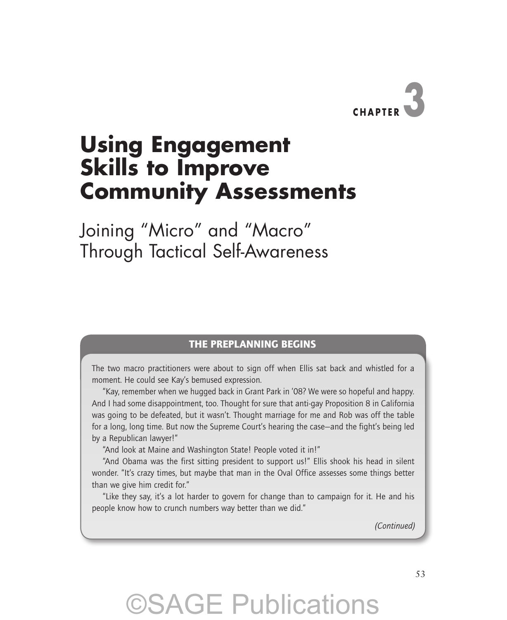

### **Using Engagement Skills to Improve Community Assessments**

Joining "Micro" and "Macro" Through Tactical Self-Awareness

### THE PREPLANNING BEGINS

The two macro practitioners were about to sign off when Ellis sat back and whistled for a moment. He could see Kay's bemused expression.

"Kay, remember when we hugged back in Grant Park in '08? We were so hopeful and happy. And I had some disappointment, too. Thought for sure that anti-gay Proposition 8 in California was going to be defeated, but it wasn't. Thought marriage for me and Rob was off the table for a long, long time. But now the Supreme Court's hearing the case—and the fight's being led by a Republican lawyer!"

"And look at Maine and Washington State! People voted it in!"

"And Obama was the first sitting president to support us!" Ellis shook his head in silent wonder. "It's crazy times, but maybe that man in the Oval Office assesses some things better than we give him credit for."

"Like they say, it's a lot harder to govern for change than to campaign for it. He and his people know how to crunch numbers way better than we did."

©SAGE Publications

*(Continued)*

53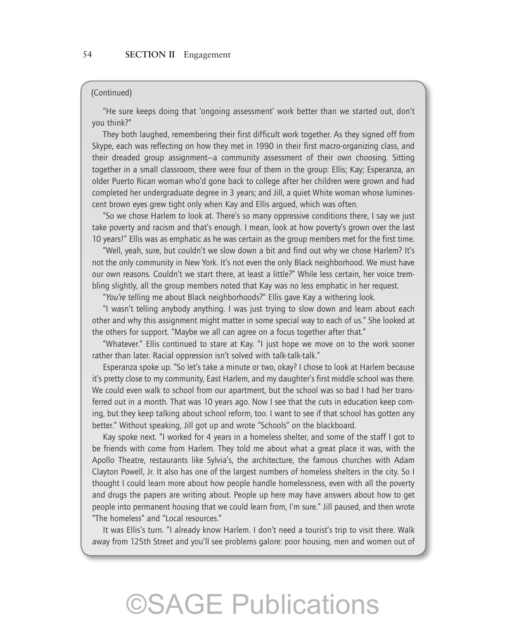#### (Continued)

"He sure keeps doing that 'ongoing assessment' work better than we started out, don't you think?"

They both laughed, remembering their first difficult work together. As they signed off from Skype, each was reflecting on how they met in 1990 in their first macro-organizing class, and their dreaded group assignment—a community assessment of their own choosing. Sitting together in a small classroom, there were four of them in the group: Ellis; Kay; Esperanza, an older Puerto Rican woman who'd gone back to college after her children were grown and had completed her undergraduate degree in 3 years; and Jill, a quiet White woman whose luminescent brown eyes grew tight only when Kay and Ellis argued, which was often.

"So we chose Harlem to look at. There's so many oppressive conditions there, I say we just take poverty and racism and that's enough. I mean, look at how poverty's grown over the last 10 years!" Ellis was as emphatic as he was certain as the group members met for the first time.

"Well, yeah, sure, but couldn't we slow down a bit and find out why we chose Harlem? It's not the only community in New York. It's not even the only Black neighborhood. We must have our own reasons. Couldn't we start there, at least a little?" While less certain, her voice trembling slightly, all the group members noted that Kay was no less emphatic in her request.

"*You're* telling me about Black neighborhoods?" Ellis gave Kay a withering look.

"I wasn't telling anybody anything. I was just trying to slow down and learn about each other and why this assignment might matter in some special way to each of us." She looked at the others for support. "Maybe we all can agree on a focus together after that."

"Whatever." Ellis continued to stare at Kay. "I just hope we move on to the work sooner rather than later. Racial oppression isn't solved with talk-talk-talk."

Esperanza spoke up. "So let's take a minute or two, okay? I chose to look at Harlem because it's pretty close to my community, East Harlem, and my daughter's first middle school was there. We could even walk to school from our apartment, but the school was so bad I had her transferred out in a month. That was 10 years ago. Now I see that the cuts in education keep coming, but they keep talking about school reform, too. I want to see if that school has gotten any better." Without speaking, Jill got up and wrote "Schools" on the blackboard.

Kay spoke next. "I worked for 4 years in a homeless shelter, and some of the staff I got to be friends with come from Harlem. They told me about what a great place it was, with the Apollo Theatre, restaurants like Sylvia's, the architecture, the famous churches with Adam Clayton Powell, Jr. It also has one of the largest numbers of homeless shelters in the city. So I thought I could learn more about how people handle homelessness, even with all the poverty and drugs the papers are writing about. People up here may have answers about how to get people into permanent housing that we could learn from, I'm sure." Jill paused, and then wrote "The homeless" and "Local resources."

It was Ellis's turn. "I already know Harlem. I don't need a tourist's trip to visit there. Walk away from 125th Street and you'll see problems galore: poor housing, men and women out of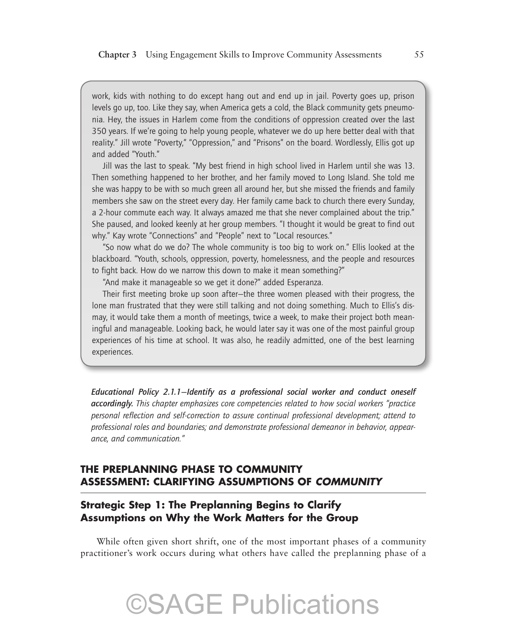work, kids with nothing to do except hang out and end up in jail. Poverty goes up, prison levels go up, too. Like they say, when America gets a cold, the Black community gets pneumonia. Hey, the issues in Harlem come from the conditions of oppression created over the last 350 years. If we're going to help young people, whatever we do up here better deal with that reality." Jill wrote "Poverty," "Oppression," and "Prisons" on the board. Wordlessly, Ellis got up and added "Youth."

Jill was the last to speak. "My best friend in high school lived in Harlem until she was 13. Then something happened to her brother, and her family moved to Long Island. She told me she was happy to be with so much green all around her, but she missed the friends and family members she saw on the street every day. Her family came back to church there every Sunday, a 2-hour commute each way. It always amazed me that she never complained about the trip." She paused, and looked keenly at her group members. "I thought it would be great to find out why." Kay wrote "Connections" and "People" next to "Local resources."

"So now what do we do? The whole community is too big to work on." Ellis looked at the blackboard. "Youth, schools, oppression, poverty, homelessness, and the people and resources to fight back. How do we narrow this down to make it mean something?"

"And make it manageable so we get it done?" added Esperanza.

Their first meeting broke up soon after—the three women pleased with their progress, the lone man frustrated that they were still talking and not doing something. Much to Ellis's dismay, it would take them a month of meetings, twice a week, to make their project both meaningful and manageable. Looking back, he would later say it was one of the most painful group experiences of his time at school. It was also, he readily admitted, one of the best learning experiences.

*Educational Policy 2.1.1—Identify as a professional social worker and conduct oneself accordingly. This chapter emphasizes core competencies related to how social workers "practice personal reflection and self-correction to assure continual professional development; attend to professional roles and boundaries; and demonstrate professional demeanor in behavior, appearance, and communication."*

### **THE PREPLANNING PHASE TO COMMUNITY ASSESSMENT: CLARIFYING ASSUMPTIONS OF** *COMMUNITY*

### **Strategic Step 1: The Preplanning Begins to Clarify Assumptions on Why the Work Matters for the Group**

While often given short shrift, one of the most important phases of a community practitioner's work occurs during what others have called the preplanning phase of a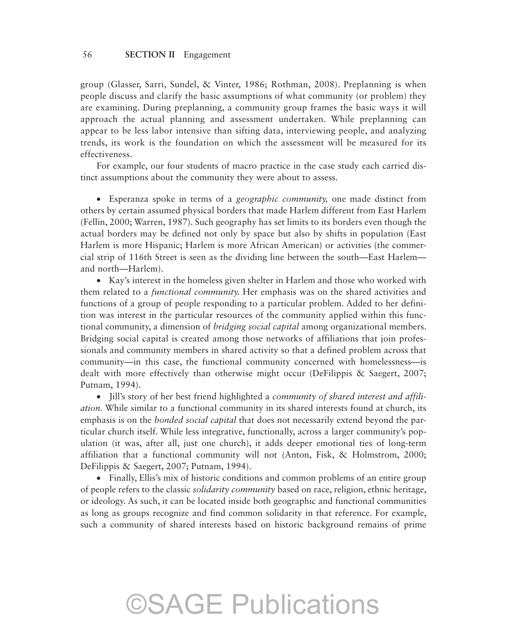group (Glasser, Sarri, Sundel, & Vinter, 1986; Rothman, 2008). Preplanning is when people discuss and clarify the basic assumptions of what community (or problem) they are examining. During preplanning, a community group frames the basic ways it will approach the actual planning and assessment undertaken. While preplanning can appear to be less labor intensive than sifting data, interviewing people, and analyzing trends, its work is the foundation on which the assessment will be measured for its effectiveness.

For example, our four students of macro practice in the case study each carried distinct assumptions about the community they were about to assess.

• Esperanza spoke in terms of a *geographic community,* one made distinct from others by certain assumed physical borders that made Harlem different from East Harlem (Fellin, 2000; Warren, 1987). Such geography has set limits to its borders even though the actual borders may be defined not only by space but also by shifts in population (East Harlem is more Hispanic; Harlem is more African American) or activities (the commercial strip of 116th Street is seen as the dividing line between the south—East Harlem and north—Harlem).

• Kay's interest in the homeless given shelter in Harlem and those who worked with them related to a *functional community.* Her emphasis was on the shared activities and functions of a group of people responding to a particular problem. Added to her definition was interest in the particular resources of the community applied within this functional community, a dimension of *bridging social capital* among organizational members. Bridging social capital is created among those networks of affiliations that join professionals and community members in shared activity so that a defined problem across that community—in this case, the functional community concerned with homelessness—is dealt with more effectively than otherwise might occur (DeFilippis & Saegert, 2007; Putnam, 1994).

• Jill's story of her best friend highlighted a *community of shared interest and affiliation.* While similar to a functional community in its shared interests found at church, its emphasis is on the *bonded social capital* that does not necessarily extend beyond the particular church itself. While less integrative, functionally, across a larger community's population (it was, after all, just one church), it adds deeper emotional ties of long-term affiliation that a functional community will not (Anton, Fisk, & Holmstrom, 2000; DeFilippis & Saegert, 2007; Putnam, 1994).

• Finally, Ellis's mix of historic conditions and common problems of an entire group of people refers to the classic *solidarity community* based on race, religion, ethnic heritage, or ideology. As such, it can be located inside both geographic and functional communities as long as groups recognize and find common solidarity in that reference. For example, such a community of shared interests based on historic background remains of prime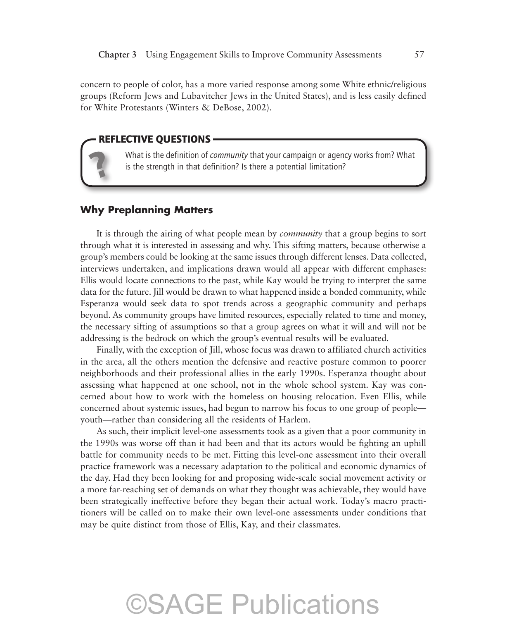concern to people of color, has a more varied response among some White ethnic/religious groups (Reform Jews and Lubavitcher Jews in the United States), and is less easily defined for White Protestants (Winters & DeBose, 2002).

#### REFLECTIVE QUESTIONS

What is the definition of *community* that your campaign or agency works from? What is the strength in that definition? Is there a potential limitation?

### **Why Preplanning Matters**

It is through the airing of what people mean by *community* that a group begins to sort through what it is interested in assessing and why. This sifting matters, because otherwise a group's members could be looking at the same issues through different lenses. Data collected, interviews undertaken, and implications drawn would all appear with different emphases: Ellis would locate connections to the past, while Kay would be trying to interpret the same data for the future. Jill would be drawn to what happened inside a bonded community, while Esperanza would seek data to spot trends across a geographic community and perhaps beyond. As community groups have limited resources, especially related to time and money, the necessary sifting of assumptions so that a group agrees on what it will and will not be addressing is the bedrock on which the group's eventual results will be evaluated.

Finally, with the exception of Jill, whose focus was drawn to affiliated church activities in the area, all the others mention the defensive and reactive posture common to poorer neighborhoods and their professional allies in the early 1990s. Esperanza thought about assessing what happened at one school, not in the whole school system. Kay was concerned about how to work with the homeless on housing relocation. Even Ellis, while concerned about systemic issues, had begun to narrow his focus to one group of people youth—rather than considering all the residents of Harlem.

As such, their implicit level-one assessments took as a given that a poor community in the 1990s was worse off than it had been and that its actors would be fighting an uphill battle for community needs to be met. Fitting this level-one assessment into their overall practice framework was a necessary adaptation to the political and economic dynamics of the day. Had they been looking for and proposing wide-scale social movement activity or a more far-reaching set of demands on what they thought was achievable, they would have been strategically ineffective before they began their actual work. Today's macro practitioners will be called on to make their own level-one assessments under conditions that may be quite distinct from those of Ellis, Kay, and their classmates.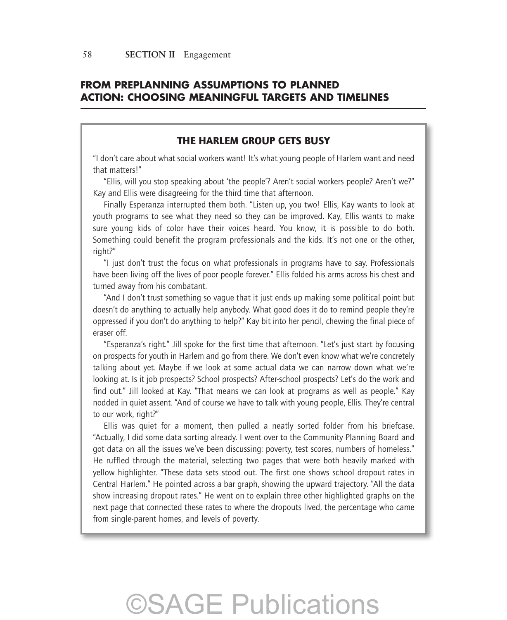### **FROM PREPLANNING ASSUMPTIONS TO PLANNED ACTION: CHOOSING MEANINGFUL TARGETS AND TIMELINES**

#### THE HARLEM GROUP GETS BUSY

"I don't care about what social workers want! It's what young people of Harlem want and need that matters!"

"Ellis, will you stop speaking about 'the people'? Aren't social workers people? Aren't we?" Kay and Ellis were disagreeing for the third time that afternoon.

Finally Esperanza interrupted them both. "Listen up, you two! Ellis, Kay wants to look at youth programs to see what they need so they can be improved. Kay, Ellis wants to make sure young kids of color have their voices heard. You know, it is possible to do both. Something could benefit the program professionals and the kids. It's not one or the other, right?"

"I just don't trust the focus on what professionals in programs have to say. Professionals have been living off the lives of poor people forever." Ellis folded his arms across his chest and turned away from his combatant.

"And I don't trust something so vague that it just ends up making some political point but doesn't do anything to actually help anybody. What good does it do to remind people they're oppressed if you don't do anything to help?" Kay bit into her pencil, chewing the final piece of eraser off.

"Esperanza's right." Jill spoke for the first time that afternoon. "Let's just start by focusing on prospects for youth in Harlem and go from there. We don't even know what we're concretely talking about yet. Maybe if we look at some actual data we can narrow down what we're looking at. Is it job prospects? School prospects? After-school prospects? Let's do the work and find out." Jill looked at Kay. "That means we can look at programs as well as people." Kay nodded in quiet assent. "And of course we have to talk with young people, Ellis. They're central to our work, right?"

Ellis was quiet for a moment, then pulled a neatly sorted folder from his briefcase. "Actually, I did some data sorting already. I went over to the Community Planning Board and got data on all the issues we've been discussing: poverty, test scores, numbers of homeless." He ruffled through the material, selecting two pages that were both heavily marked with yellow highlighter. "These data sets stood out. The first one shows school dropout rates in Central Harlem." He pointed across a bar graph, showing the upward trajectory. "All the data show increasing dropout rates." He went on to explain three other highlighted graphs on the next page that connected these rates to where the dropouts lived, the percentage who came from single-parent homes, and levels of poverty.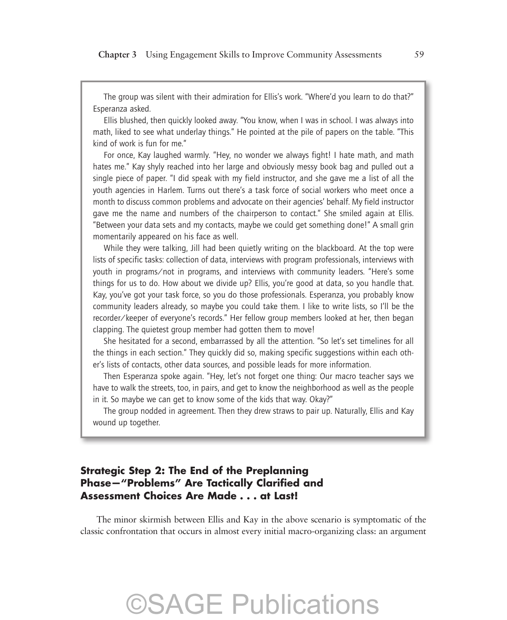The group was silent with their admiration for Ellis's work. "Where'd you learn to do that?" Esperanza asked.

Ellis blushed, then quickly looked away. "You know, when I was in school. I was always into math, liked to see what underlay things." He pointed at the pile of papers on the table. "This kind of work is fun for me."

For once, Kay laughed warmly. "Hey, no wonder we always fight! I hate math, and math hates me." Kay shyly reached into her large and obviously messy book bag and pulled out a single piece of paper. "I did speak with my field instructor, and she gave me a list of all the youth agencies in Harlem. Turns out there's a task force of social workers who meet once a month to discuss common problems and advocate on their agencies' behalf. My field instructor gave me the name and numbers of the chairperson to contact." She smiled again at Ellis. "Between your data sets and my contacts, maybe we could get something done!" A small grin momentarily appeared on his face as well.

While they were talking, Jill had been quietly writing on the blackboard. At the top were lists of specific tasks: collection of data, interviews with program professionals, interviews with youth in programs/not in programs, and interviews with community leaders. "Here's some things for us to do. How about we divide up? Ellis, you're good at data, so you handle that. Kay, you've got your task force, so you do those professionals. Esperanza, you probably know community leaders already, so maybe you could take them. I like to write lists, so I'll be the recorder/keeper of everyone's records." Her fellow group members looked at her, then began clapping. The quietest group member had gotten them to move!

She hesitated for a second, embarrassed by all the attention. "So let's set timelines for all the things in each section." They quickly did so, making specific suggestions within each other's lists of contacts, other data sources, and possible leads for more information.

Then Esperanza spoke again. "Hey, let's not forget one thing: Our macro teacher says we have to walk the streets, too, in pairs, and get to know the neighborhood as well as the people in it. So maybe we can get to know some of the kids that way. Okay?"

The group nodded in agreement. Then they drew straws to pair up. Naturally, Ellis and Kay wound up together.

### **Strategic Step 2: The End of the Preplanning Phase—"Problems" Are Tactically Clarified and Assessment Choices Are Made . . . at Last!**

The minor skirmish between Ellis and Kay in the above scenario is symptomatic of the classic confrontation that occurs in almost every initial macro-organizing class: an argument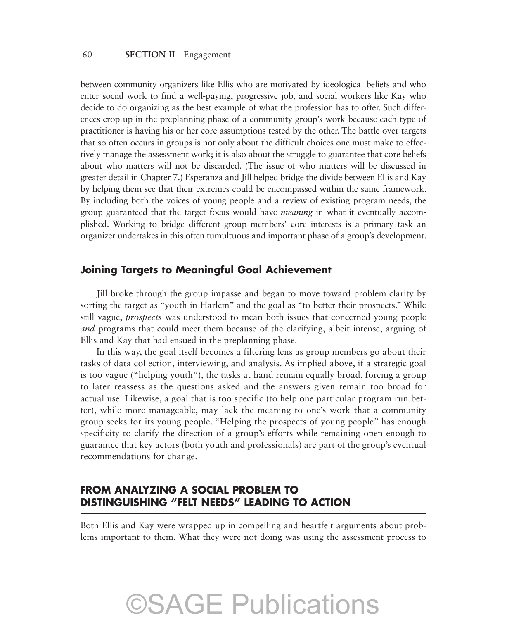between community organizers like Ellis who are motivated by ideological beliefs and who enter social work to find a well-paying, progressive job, and social workers like Kay who decide to do organizing as the best example of what the profession has to offer. Such differences crop up in the preplanning phase of a community group's work because each type of practitioner is having his or her core assumptions tested by the other. The battle over targets that so often occurs in groups is not only about the difficult choices one must make to effectively manage the assessment work; it is also about the struggle to guarantee that core beliefs about who matters will not be discarded. (The issue of who matters will be discussed in greater detail in Chapter 7.) Esperanza and Jill helped bridge the divide between Ellis and Kay by helping them see that their extremes could be encompassed within the same framework. By including both the voices of young people and a review of existing program needs, the group guaranteed that the target focus would have *meaning* in what it eventually accomplished. Working to bridge different group members' core interests is a primary task an organizer undertakes in this often tumultuous and important phase of a group's development.

#### **Joining Targets to Meaningful Goal Achievement**

Jill broke through the group impasse and began to move toward problem clarity by sorting the target as "youth in Harlem" and the goal as "to better their prospects." While still vague, *prospects* was understood to mean both issues that concerned young people *and* programs that could meet them because of the clarifying, albeit intense, arguing of Ellis and Kay that had ensued in the preplanning phase.

In this way, the goal itself becomes a filtering lens as group members go about their tasks of data collection, interviewing, and analysis. As implied above, if a strategic goal is too vague ("helping youth"), the tasks at hand remain equally broad, forcing a group to later reassess as the questions asked and the answers given remain too broad for actual use. Likewise, a goal that is too specific (to help one particular program run better), while more manageable, may lack the meaning to one's work that a community group seeks for its young people. "Helping the prospects of young people" has enough specificity to clarify the direction of a group's efforts while remaining open enough to guarantee that key actors (both youth and professionals) are part of the group's eventual recommendations for change.

### **FROM ANALYZING A SOCIAL PROBLEM TO DISTINGUISHING "FELT NEEDS" LEADING TO ACTION**

Both Ellis and Kay were wrapped up in compelling and heartfelt arguments about problems important to them. What they were not doing was using the assessment process to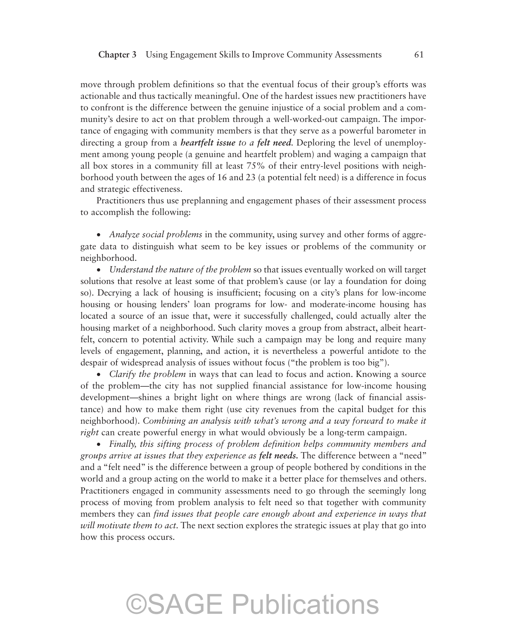move through problem definitions so that the eventual focus of their group's efforts was actionable and thus tactically meaningful. One of the hardest issues new practitioners have to confront is the difference between the genuine injustice of a social problem and a community's desire to act on that problem through a well-worked-out campaign. The importance of engaging with community members is that they serve as a powerful barometer in directing a group from a *heartfelt issue to a felt need.* Deploring the level of unemployment among young people (a genuine and heartfelt problem) and waging a campaign that all box stores in a community fill at least 75% of their entry-level positions with neighborhood youth between the ages of 16 and 23 (a potential felt need) is a difference in focus and strategic effectiveness.

Practitioners thus use preplanning and engagement phases of their assessment process to accomplish the following:

• *Analyze social problems* in the community, using survey and other forms of aggregate data to distinguish what seem to be key issues or problems of the community or neighborhood.

• *Understand the nature of the problem* so that issues eventually worked on will target solutions that resolve at least some of that problem's cause (or lay a foundation for doing so). Decrying a lack of housing is insufficient; focusing on a city's plans for low-income housing or housing lenders' loan programs for low- and moderate-income housing has located a source of an issue that, were it successfully challenged, could actually alter the housing market of a neighborhood. Such clarity moves a group from abstract, albeit heartfelt, concern to potential activity. While such a campaign may be long and require many levels of engagement, planning, and action, it is nevertheless a powerful antidote to the despair of widespread analysis of issues without focus ("the problem is too big").

• *Clarify the problem* in ways that can lead to focus and action. Knowing a source of the problem—the city has not supplied financial assistance for low-income housing development—shines a bright light on where things are wrong (lack of financial assistance) and how to make them right (use city revenues from the capital budget for this neighborhood). *Combining an analysis with what's wrong and a way forward to make it right* can create powerful energy in what would obviously be a long-term campaign.

• *Finally, this sifting process of problem definition helps community members and groups arrive at issues that they experience as felt needs.* The difference between a "need" and a "felt need" is the difference between a group of people bothered by conditions in the world and a group acting on the world to make it a better place for themselves and others. Practitioners engaged in community assessments need to go through the seemingly long process of moving from problem analysis to felt need so that together with community members they can *find issues that people care enough about and experience in ways that will motivate them to act.* The next section explores the strategic issues at play that go into how this process occurs.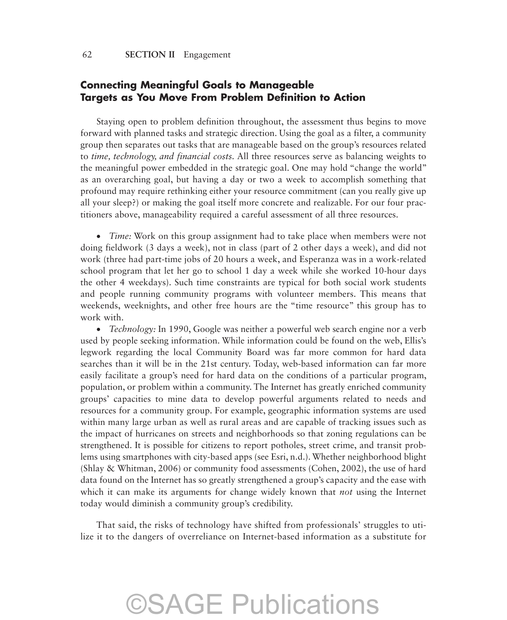### **Connecting Meaningful Goals to Manageable Targets as You Move From Problem Definition to Action**

Staying open to problem definition throughout, the assessment thus begins to move forward with planned tasks and strategic direction. Using the goal as a filter, a community group then separates out tasks that are manageable based on the group's resources related to *time, technology, and financial costs.* All three resources serve as balancing weights to the meaningful power embedded in the strategic goal. One may hold "change the world" as an overarching goal, but having a day or two a week to accomplish something that profound may require rethinking either your resource commitment (can you really give up all your sleep?) or making the goal itself more concrete and realizable. For our four practitioners above, manageability required a careful assessment of all three resources.

• *Time:* Work on this group assignment had to take place when members were not doing fieldwork (3 days a week), not in class (part of 2 other days a week), and did not work (three had part-time jobs of 20 hours a week, and Esperanza was in a work-related school program that let her go to school 1 day a week while she worked 10-hour days the other 4 weekdays). Such time constraints are typical for both social work students and people running community programs with volunteer members. This means that weekends, weeknights, and other free hours are the "time resource" this group has to work with.

• *Technology:* In 1990, Google was neither a powerful web search engine nor a verb used by people seeking information. While information could be found on the web, Ellis's legwork regarding the local Community Board was far more common for hard data searches than it will be in the 21st century. Today, web-based information can far more easily facilitate a group's need for hard data on the conditions of a particular program, population, or problem within a community. The Internet has greatly enriched community groups' capacities to mine data to develop powerful arguments related to needs and resources for a community group. For example, geographic information systems are used within many large urban as well as rural areas and are capable of tracking issues such as the impact of hurricanes on streets and neighborhoods so that zoning regulations can be strengthened. It is possible for citizens to report potholes, street crime, and transit problems using smartphones with city-based apps (see Esri, n.d.). Whether neighborhood blight (Shlay & Whitman, 2006) or community food assessments (Cohen, 2002), the use of hard data found on the Internet has so greatly strengthened a group's capacity and the ease with which it can make its arguments for change widely known that *not* using the Internet today would diminish a community group's credibility.

That said, the risks of technology have shifted from professionals' struggles to utilize it to the dangers of overreliance on Internet-based information as a substitute for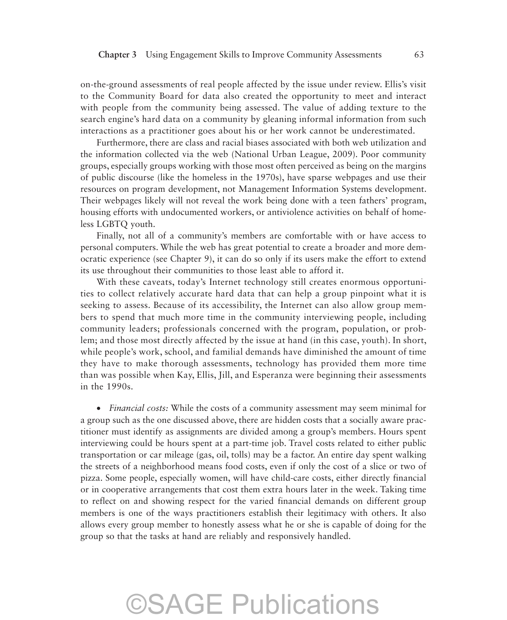on-the-ground assessments of real people affected by the issue under review. Ellis's visit to the Community Board for data also created the opportunity to meet and interact with people from the community being assessed. The value of adding texture to the search engine's hard data on a community by gleaning informal information from such interactions as a practitioner goes about his or her work cannot be underestimated.

Furthermore, there are class and racial biases associated with both web utilization and the information collected via the web (National Urban League, 2009). Poor community groups, especially groups working with those most often perceived as being on the margins of public discourse (like the homeless in the 1970s), have sparse webpages and use their resources on program development, not Management Information Systems development. Their webpages likely will not reveal the work being done with a teen fathers' program, housing efforts with undocumented workers, or antiviolence activities on behalf of homeless LGBTQ youth.

Finally, not all of a community's members are comfortable with or have access to personal computers. While the web has great potential to create a broader and more democratic experience (see Chapter 9), it can do so only if its users make the effort to extend its use throughout their communities to those least able to afford it.

With these caveats, today's Internet technology still creates enormous opportunities to collect relatively accurate hard data that can help a group pinpoint what it is seeking to assess. Because of its accessibility, the Internet can also allow group members to spend that much more time in the community interviewing people, including community leaders; professionals concerned with the program, population, or problem; and those most directly affected by the issue at hand (in this case, youth). In short, while people's work, school, and familial demands have diminished the amount of time they have to make thorough assessments, technology has provided them more time than was possible when Kay, Ellis, Jill, and Esperanza were beginning their assessments in the 1990s.

• *Financial costs:* While the costs of a community assessment may seem minimal for a group such as the one discussed above, there are hidden costs that a socially aware practitioner must identify as assignments are divided among a group's members. Hours spent interviewing could be hours spent at a part-time job. Travel costs related to either public transportation or car mileage (gas, oil, tolls) may be a factor. An entire day spent walking the streets of a neighborhood means food costs, even if only the cost of a slice or two of pizza. Some people, especially women, will have child-care costs, either directly financial or in cooperative arrangements that cost them extra hours later in the week. Taking time to reflect on and showing respect for the varied financial demands on different group members is one of the ways practitioners establish their legitimacy with others. It also allows every group member to honestly assess what he or she is capable of doing for the group so that the tasks at hand are reliably and responsively handled.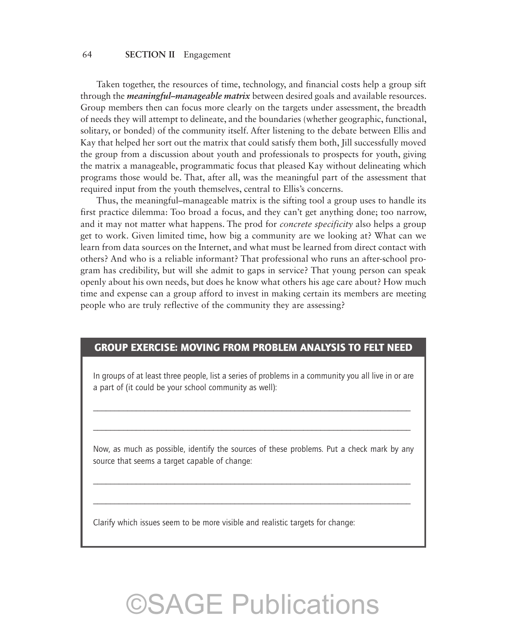#### 64 **SECTION II** Engagement

Taken together, the resources of time, technology, and financial costs help a group sift through the *meaningful–manageable matrix* between desired goals and available resources. Group members then can focus more clearly on the targets under assessment, the breadth of needs they will attempt to delineate, and the boundaries (whether geographic, functional, solitary, or bonded) of the community itself. After listening to the debate between Ellis and Kay that helped her sort out the matrix that could satisfy them both, Jill successfully moved the group from a discussion about youth and professionals to prospects for youth, giving the matrix a manageable, programmatic focus that pleased Kay without delineating which programs those would be. That, after all, was the meaningful part of the assessment that required input from the youth themselves, central to Ellis's concerns.

Thus, the meaningful–manageable matrix is the sifting tool a group uses to handle its first practice dilemma: Too broad a focus, and they can't get anything done; too narrow, and it may not matter what happens. The prod for *concrete specificity* also helps a group get to work. Given limited time, how big a community are we looking at? What can we learn from data sources on the Internet, and what must be learned from direct contact with others? And who is a reliable informant? That professional who runs an after-school program has credibility, but will she admit to gaps in service? That young person can speak openly about his own needs, but does he know what others his age care about? How much time and expense can a group afford to invest in making certain its members are meeting people who are truly reflective of the community they are assessing?

### GROUP EXERCISE: MOVING FROM PROBLEM ANALYSIS TO FELT NEED

In groups of at least three people, list a series of problems in a community you all live in or are a part of (it could be your school community as well):

\_\_\_\_\_\_\_\_\_\_\_\_\_\_\_\_\_\_\_\_\_\_\_\_\_\_\_\_\_\_\_\_\_\_\_\_\_\_\_\_\_\_\_\_\_\_\_\_\_\_\_\_\_\_\_\_\_\_\_\_\_\_\_\_\_\_\_\_\_\_\_\_\_\_

\_\_\_\_\_\_\_\_\_\_\_\_\_\_\_\_\_\_\_\_\_\_\_\_\_\_\_\_\_\_\_\_\_\_\_\_\_\_\_\_\_\_\_\_\_\_\_\_\_\_\_\_\_\_\_\_\_\_\_\_\_\_\_\_\_\_\_\_\_\_\_\_\_\_

Now, as much as possible, identify the sources of these problems. Put a check mark by any source that seems a target capable of change:

\_\_\_\_\_\_\_\_\_\_\_\_\_\_\_\_\_\_\_\_\_\_\_\_\_\_\_\_\_\_\_\_\_\_\_\_\_\_\_\_\_\_\_\_\_\_\_\_\_\_\_\_\_\_\_\_\_\_\_\_\_\_\_\_\_\_\_\_\_\_\_\_\_\_

\_\_\_\_\_\_\_\_\_\_\_\_\_\_\_\_\_\_\_\_\_\_\_\_\_\_\_\_\_\_\_\_\_\_\_\_\_\_\_\_\_\_\_\_\_\_\_\_\_\_\_\_\_\_\_\_\_\_\_\_\_\_\_\_\_\_\_\_\_\_\_\_\_\_

Clarify which issues seem to be more visible and realistic targets for change: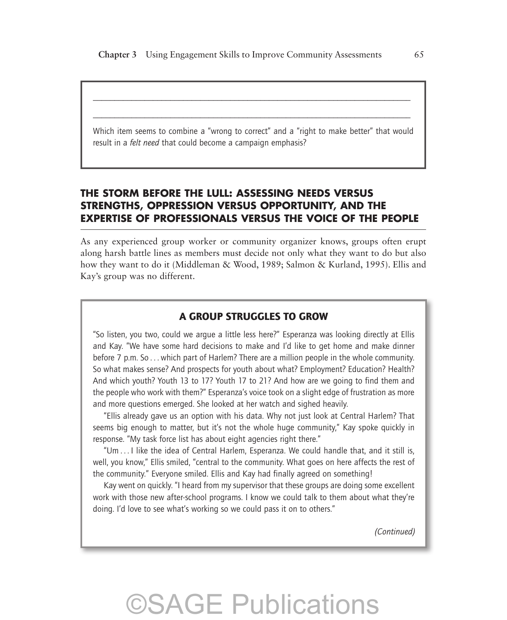Which item seems to combine a "wrong to correct" and a "right to make better" that would result in a *felt need* that could become a campaign emphasis?

\_\_\_\_\_\_\_\_\_\_\_\_\_\_\_\_\_\_\_\_\_\_\_\_\_\_\_\_\_\_\_\_\_\_\_\_\_\_\_\_\_\_\_\_\_\_\_\_\_\_\_\_\_\_\_\_\_\_\_\_\_\_\_\_\_\_\_\_\_\_\_\_\_\_  $\_$  . The contribution of the contribution of the contribution of the contribution of  $\mathcal{L}_\text{max}$ 

### **THE STORM BEFORE THE LULL: ASSESSING NEEDS VERSUS STRENGTHS, OPPRESSION VERSUS OPPORTUNITY, AND THE EXPERTISE OF PROFESSIONALS VERSUS THE VOICE OF THE PEOPLE**

As any experienced group worker or community organizer knows, groups often erupt along harsh battle lines as members must decide not only what they want to do but also how they want to do it (Middleman & Wood, 1989; Salmon & Kurland, 1995). Ellis and Kay's group was no different.

### A GROUP STRUGGLES TO GROW

"So listen, you two, could we argue a little less here?" Esperanza was looking directly at Ellis and Kay. "We have some hard decisions to make and I'd like to get home and make dinner before 7 p.m. So . . . which part of Harlem? There are a million people in the whole community. So what makes sense? And prospects for youth about what? Employment? Education? Health? And which youth? Youth 13 to 17? Youth 17 to 21? And how are we going to find them and the people who work with them?" Esperanza's voice took on a slight edge of frustration as more and more questions emerged. She looked at her watch and sighed heavily.

"Ellis already gave us an option with his data. Why not just look at Central Harlem? That seems big enough to matter, but it's not the whole huge community," Kay spoke quickly in response. "My task force list has about eight agencies right there."

"Um . . . I like the idea of Central Harlem, Esperanza. We could handle that, and it still is, well, you know," Ellis smiled, "central to the community. What goes on here affects the rest of the community." Everyone smiled. Ellis and Kay had finally agreed on something!

Kay went on quickly. "I heard from my supervisor that these groups are doing some excellent work with those new after-school programs. I know we could talk to them about what they're doing. I'd love to see what's working so we could pass it on to others."

*(Continued)*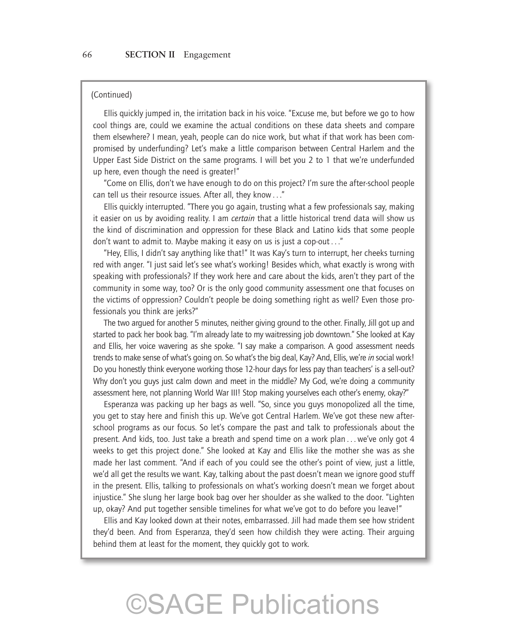#### (Continued)

Ellis quickly jumped in, the irritation back in his voice. "Excuse me, but before we go to how cool things are, could we examine the actual conditions on these data sheets and compare them elsewhere? I mean, yeah, people can do nice work, but what if that work has been compromised by underfunding? Let's make a little comparison between Central Harlem and the Upper East Side District on the same programs. I will bet you 2 to 1 that we're underfunded up here, even though the need is greater!"

"Come on Ellis, don't we have enough to do on this project? I'm sure the after-school people can tell us their resource issues. After all, they know . . ."

Ellis quickly interrupted. "There you go again, trusting what a few professionals say, making it easier on us by avoiding reality. I am *certain* that a little historical trend data will show us the kind of discrimination and oppression for these Black and Latino kids that some people don't want to admit to. Maybe making it easy on us is just a cop-out . . ."

"Hey, Ellis, I didn't say anything like that!" It was Kay's turn to interrupt, her cheeks turning red with anger. "I just said let's see what's working! Besides which, what exactly is wrong with speaking with professionals? If they work here and care about the kids, aren't they part of the community in some way, too? Or is the only good community assessment one that focuses on the victims of oppression? Couldn't people be doing something right as well? Even those professionals you think are jerks?"

The two argued for another 5 minutes, neither giving ground to the other. Finally, Jill got up and started to pack her book bag. "I'm already late to my waitressing job downtown." She looked at Kay and Ellis, her voice wavering as she spoke. "I say make a comparison. A good assessment needs trends to make sense of what's going on. So what's the big deal, Kay? And, Ellis, we're *in* social work! Do you honestly think everyone working those 12-hour days for less pay than teachers' is a sell-out? Why don't you guys just calm down and meet in the middle? My God, we're doing a community assessment here, not planning World War III! Stop making yourselves each other's enemy, okay?"

Esperanza was packing up her bags as well. "So, since you guys monopolized all the time, you get to stay here and finish this up. We've got Central Harlem. We've got these new afterschool programs as our focus. So let's compare the past and talk to professionals about the present. And kids, too. Just take a breath and spend time on a work plan . . . we've only got 4 weeks to get this project done." She looked at Kay and Ellis like the mother she was as she made her last comment. "And if each of you could see the other's point of view, just a little, we'd all get the results we want. Kay, talking about the past doesn't mean we ignore good stuff in the present. Ellis, talking to professionals on what's working doesn't mean we forget about injustice." She slung her large book bag over her shoulder as she walked to the door. "Lighten up, okay? And put together sensible timelines for what we've got to do before you leave!"

Ellis and Kay looked down at their notes, embarrassed. Jill had made them see how strident they'd been. And from Esperanza, they'd seen how childish they were acting. Their arguing behind them at least for the moment, they quickly got to work.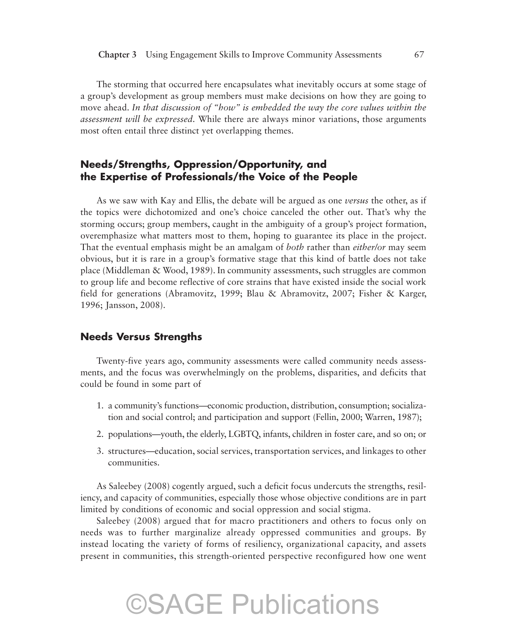The storming that occurred here encapsulates what inevitably occurs at some stage of a group's development as group members must make decisions on how they are going to move ahead. *In that discussion of "how" is embedded the way the core values within the assessment will be expressed.* While there are always minor variations, those arguments most often entail three distinct yet overlapping themes.

### **Needs/Strengths, Oppression/Opportunity, and the Expertise of Professionals/the Voice of the People**

As we saw with Kay and Ellis, the debate will be argued as one *versus* the other, as if the topics were dichotomized and one's choice canceled the other out. That's why the storming occurs; group members, caught in the ambiguity of a group's project formation, overemphasize what matters most to them, hoping to guarantee its place in the project. That the eventual emphasis might be an amalgam of *both* rather than *either/or* may seem obvious, but it is rare in a group's formative stage that this kind of battle does not take place (Middleman & Wood, 1989). In community assessments, such struggles are common to group life and become reflective of core strains that have existed inside the social work field for generations (Abramovitz, 1999; Blau & Abramovitz, 2007; Fisher & Karger, 1996; Jansson, 2008).

#### **Needs Versus Strengths**

Twenty-five years ago, community assessments were called community needs assessments, and the focus was overwhelmingly on the problems, disparities, and deficits that could be found in some part of

- 1. a community's functions—economic production, distribution, consumption; socialization and social control; and participation and support (Fellin, 2000; Warren, 1987);
- 2. populations—youth, the elderly, LGBTQ, infants, children in foster care, and so on; or
- 3. structures—education, social services, transportation services, and linkages to other communities.

As Saleebey (2008) cogently argued, such a deficit focus undercuts the strengths, resiliency, and capacity of communities, especially those whose objective conditions are in part limited by conditions of economic and social oppression and social stigma.

Saleebey (2008) argued that for macro practitioners and others to focus only on needs was to further marginalize already oppressed communities and groups. By instead locating the variety of forms of resiliency, organizational capacity, and assets present in communities, this strength-oriented perspective reconfigured how one went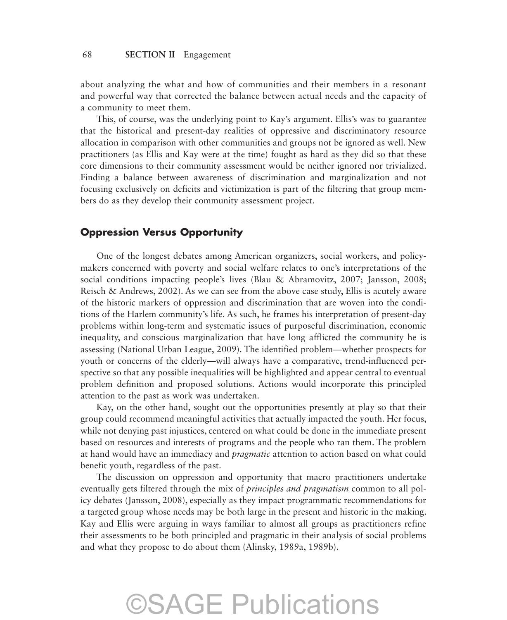about analyzing the what and how of communities and their members in a resonant and powerful way that corrected the balance between actual needs and the capacity of a community to meet them.

This, of course, was the underlying point to Kay's argument. Ellis's was to guarantee that the historical and present-day realities of oppressive and discriminatory resource allocation in comparison with other communities and groups not be ignored as well. New practitioners (as Ellis and Kay were at the time) fought as hard as they did so that these core dimensions to their community assessment would be neither ignored nor trivialized. Finding a balance between awareness of discrimination and marginalization and not focusing exclusively on deficits and victimization is part of the filtering that group members do as they develop their community assessment project.

### **Oppression Versus Opportunity**

One of the longest debates among American organizers, social workers, and policymakers concerned with poverty and social welfare relates to one's interpretations of the social conditions impacting people's lives (Blau & Abramovitz, 2007; Jansson, 2008; Reisch & Andrews, 2002). As we can see from the above case study, Ellis is acutely aware of the historic markers of oppression and discrimination that are woven into the conditions of the Harlem community's life. As such, he frames his interpretation of present-day problems within long-term and systematic issues of purposeful discrimination, economic inequality, and conscious marginalization that have long afflicted the community he is assessing (National Urban League, 2009). The identified problem—whether prospects for youth or concerns of the elderly—will always have a comparative, trend-influenced perspective so that any possible inequalities will be highlighted and appear central to eventual problem definition and proposed solutions. Actions would incorporate this principled attention to the past as work was undertaken.

Kay, on the other hand, sought out the opportunities presently at play so that their group could recommend meaningful activities that actually impacted the youth. Her focus, while not denying past injustices, centered on what could be done in the immediate present based on resources and interests of programs and the people who ran them. The problem at hand would have an immediacy and *pragmatic* attention to action based on what could benefit youth, regardless of the past.

The discussion on oppression and opportunity that macro practitioners undertake eventually gets filtered through the mix of *principles and pragmatism* common to all policy debates (Jansson, 2008), especially as they impact programmatic recommendations for a targeted group whose needs may be both large in the present and historic in the making. Kay and Ellis were arguing in ways familiar to almost all groups as practitioners refine their assessments to be both principled and pragmatic in their analysis of social problems and what they propose to do about them (Alinsky, 1989a, 1989b).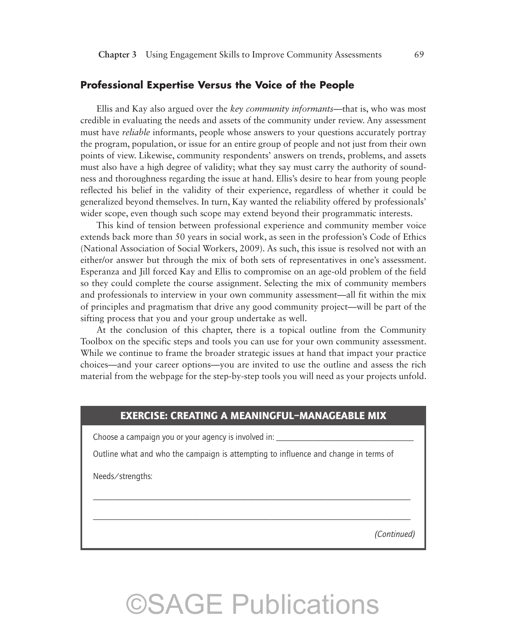### **Professional Expertise Versus the Voice of the People**

Ellis and Kay also argued over the *key community informants—*that is, who was most credible in evaluating the needs and assets of the community under review. Any assessment must have *reliable* informants, people whose answers to your questions accurately portray the program, population, or issue for an entire group of people and not just from their own points of view. Likewise, community respondents' answers on trends, problems, and assets must also have a high degree of validity; what they say must carry the authority of soundness and thoroughness regarding the issue at hand. Ellis's desire to hear from young people reflected his belief in the validity of their experience, regardless of whether it could be generalized beyond themselves. In turn, Kay wanted the reliability offered by professionals' wider scope, even though such scope may extend beyond their programmatic interests.

This kind of tension between professional experience and community member voice extends back more than 50 years in social work, as seen in the profession's Code of Ethics (National Association of Social Workers, 2009). As such, this issue is resolved not with an either/or answer but through the mix of both sets of representatives in one's assessment. Esperanza and Jill forced Kay and Ellis to compromise on an age-old problem of the field so they could complete the course assignment. Selecting the mix of community members and professionals to interview in your own community assessment—all fit within the mix of principles and pragmatism that drive any good community project—will be part of the sifting process that you and your group undertake as well.

At the conclusion of this chapter, there is a topical outline from the Community Toolbox on the specific steps and tools you can use for your own community assessment. While we continue to frame the broader strategic issues at hand that impact your practice choices—and your career options—you are invited to use the outline and assess the rich material from the webpage for the step-by-step tools you will need as your projects unfold.

| <b>EXERCISE: CREATING A MEANINGFUL-MANAGEABLE MIX</b>                               |
|-------------------------------------------------------------------------------------|
| Choose a campaign you or your agency is involved in: $\Box$                         |
| Outline what and who the campaign is attempting to influence and change in terms of |
| Needs/strengths:                                                                    |
|                                                                                     |
|                                                                                     |
| (Continued)                                                                         |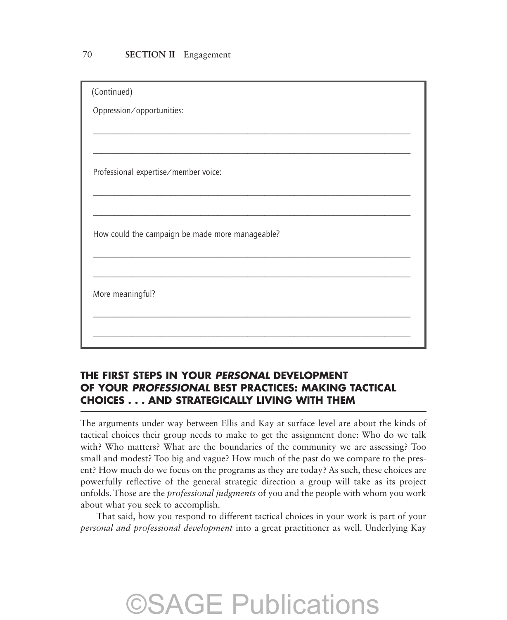### 70 **SECTION II** Engagement

| (Continued)                                     |
|-------------------------------------------------|
| Oppression/opportunities:                       |
|                                                 |
|                                                 |
|                                                 |
| Professional expertise/member voice:            |
|                                                 |
|                                                 |
|                                                 |
| How could the campaign be made more manageable? |
|                                                 |
|                                                 |
|                                                 |
| More meaningful?                                |
|                                                 |
|                                                 |
|                                                 |

### **THE FIRST STEPS IN YOUR** *PERSONAL* **DEVELOPMENT OF YOUR** *PROFESSIONAL* **BEST PRACTICES: MAKING TACTICAL CHOICES . . . AND STRATEGICALLY LIVING WITH THEM**

The arguments under way between Ellis and Kay at surface level are about the kinds of tactical choices their group needs to make to get the assignment done: Who do we talk with? Who matters? What are the boundaries of the community we are assessing? Too small and modest? Too big and vague? How much of the past do we compare to the present? How much do we focus on the programs as they are today? As such, these choices are powerfully reflective of the general strategic direction a group will take as its project unfolds. Those are the *professional judgments* of you and the people with whom you work about what you seek to accomplish.

That said, how you respond to different tactical choices in your work is part of your *personal and professional development* into a great practitioner as well. Underlying Kay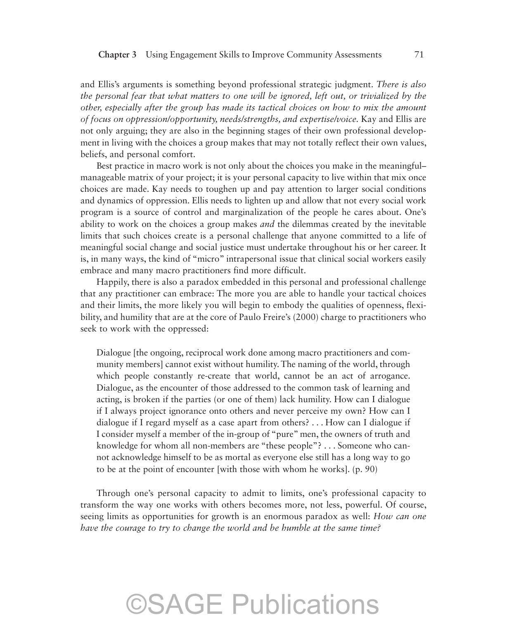and Ellis's arguments is something beyond professional strategic judgment. *There is also the personal fear that what matters to one will be ignored, left out, or trivialized by the other, especially after the group has made its tactical choices on how to mix the amount of focus on oppression/opportunity, needs/strengths, and expertise/voice.* Kay and Ellis are not only arguing; they are also in the beginning stages of their own professional development in living with the choices a group makes that may not totally reflect their own values, beliefs, and personal comfort.

Best practice in macro work is not only about the choices you make in the meaningful– manageable matrix of your project; it is your personal capacity to live within that mix once choices are made. Kay needs to toughen up and pay attention to larger social conditions and dynamics of oppression. Ellis needs to lighten up and allow that not every social work program is a source of control and marginalization of the people he cares about. One's ability to work on the choices a group makes *and* the dilemmas created by the inevitable limits that such choices create is a personal challenge that anyone committed to a life of meaningful social change and social justice must undertake throughout his or her career. It is, in many ways, the kind of "micro" intrapersonal issue that clinical social workers easily embrace and many macro practitioners find more difficult.

Happily, there is also a paradox embedded in this personal and professional challenge that any practitioner can embrace: The more you are able to handle your tactical choices and their limits, the more likely you will begin to embody the qualities of openness, flexibility, and humility that are at the core of Paulo Freire's (2000) charge to practitioners who seek to work with the oppressed:

Dialogue [the ongoing, reciprocal work done among macro practitioners and community members] cannot exist without humility. The naming of the world, through which people constantly re-create that world, cannot be an act of arrogance. Dialogue, as the encounter of those addressed to the common task of learning and acting, is broken if the parties (or one of them) lack humility. How can I dialogue if I always project ignorance onto others and never perceive my own? How can I dialogue if I regard myself as a case apart from others? . . . How can I dialogue if I consider myself a member of the in-group of "pure" men, the owners of truth and knowledge for whom all non-members are "these people"? . . . Someone who cannot acknowledge himself to be as mortal as everyone else still has a long way to go to be at the point of encounter [with those with whom he works]. (p. 90)

Through one's personal capacity to admit to limits, one's professional capacity to transform the way one works with others becomes more, not less, powerful. Of course, seeing limits as opportunities for growth is an enormous paradox as well: *How can one have the courage to try to change the world and be humble at the same time?*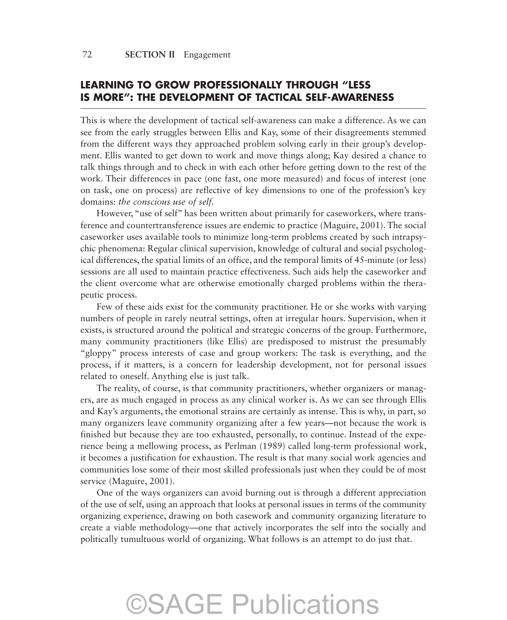### **LEARNING TO GROW PROFESSIONALLY THROUGH "LESS IS MORE": THE DEVELOPMENT OF TACTICAL SELF-AWARENESS**

This is where the development of tactical self-awareness can make a difference. As we can see from the early struggles between Ellis and Kay, some of their disagreements stemmed from the different ways they approached problem solving early in their group's development. Ellis wanted to get down to work and move things along; Kay desired a chance to talk things through and to check in with each other before getting down to the rest of the work. Their differences in pace (one fast, one more measured) and focus of interest (one on task, one on process) are reflective of key dimensions to one of the profession's key domains: *the conscious use of self.*

However, "use of self" has been written about primarily for caseworkers, where transference and countertransference issues are endemic to practice (Maguire, 2001). The social caseworker uses available tools to minimize long-term problems created by such intrapsychic phenomena: Regular clinical supervision, knowledge of cultural and social psychological differences, the spatial limits of an office, and the temporal limits of 45-minute (or less) sessions are all used to maintain practice effectiveness. Such aids help the caseworker and the client overcome what are otherwise emotionally charged problems within the therapeutic process.

Few of these aids exist for the community practitioner. He or she works with varying numbers of people in rarely neutral settings, often at irregular hours. Supervision, when it exists, is structured around the political and strategic concerns of the group. Furthermore, many community practitioners (like Ellis) are predisposed to mistrust the presumably "gloppy" process interests of case and group workers: The task is everything, and the process, if it matters, is a concern for leadership development, not for personal issues related to oneself. Anything else is just talk.

The reality, of course, is that community practitioners, whether organizers or managers, are as much engaged in process as any clinical worker is. As we can see through Ellis and Kay's arguments, the emotional strains are certainly as intense. This is why, in part, so many organizers leave community organizing after a few years—not because the work is finished but because they are too exhausted, personally, to continue. Instead of the experience being a mellowing process, as Perlman (1989) called long-term professional work, it becomes a justification for exhaustion. The result is that many social work agencies and communities lose some of their most skilled professionals just when they could be of most service (Maguire, 2001).

One of the ways organizers can avoid burning out is through a different appreciation of the use of self, using an approach that looks at personal issues in terms of the community organizing experience, drawing on both casework and community organizing literature to create a viable methodology—one that actively incorporates the self into the socially and politically tumultuous world of organizing. What follows is an attempt to do just that.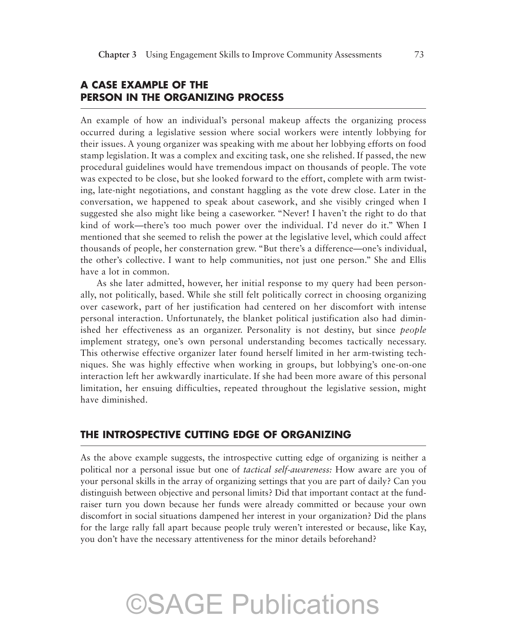### **A CASE EXAMPLE OF THE PERSON IN THE ORGANIZING PROCESS**

An example of how an individual's personal makeup affects the organizing process occurred during a legislative session where social workers were intently lobbying for their issues. A young organizer was speaking with me about her lobbying efforts on food stamp legislation. It was a complex and exciting task, one she relished. If passed, the new procedural guidelines would have tremendous impact on thousands of people. The vote was expected to be close, but she looked forward to the effort, complete with arm twisting, late-night negotiations, and constant haggling as the vote drew close. Later in the conversation, we happened to speak about casework, and she visibly cringed when I suggested she also might like being a caseworker. "Never! I haven't the right to do that kind of work—there's too much power over the individual. I'd never do it." When I mentioned that she seemed to relish the power at the legislative level, which could affect thousands of people, her consternation grew. "But there's a difference—one's individual, the other's collective. I want to help communities, not just one person." She and Ellis have a lot in common.

As she later admitted, however, her initial response to my query had been personally, not politically, based. While she still felt politically correct in choosing organizing over casework, part of her justification had centered on her discomfort with intense personal interaction. Unfortunately, the blanket political justification also had diminished her effectiveness as an organizer. Personality is not destiny, but since *people* implement strategy, one's own personal understanding becomes tactically necessary. This otherwise effective organizer later found herself limited in her arm-twisting techniques. She was highly effective when working in groups, but lobbying's one-on-one interaction left her awkwardly inarticulate. If she had been more aware of this personal limitation, her ensuing difficulties, repeated throughout the legislative session, might have diminished.

### **THE INTROSPECTIVE CUTTING EDGE OF ORGANIZING**

As the above example suggests, the introspective cutting edge of organizing is neither a political nor a personal issue but one of *tactical self-awareness:* How aware are you of your personal skills in the array of organizing settings that you are part of daily? Can you distinguish between objective and personal limits? Did that important contact at the fundraiser turn you down because her funds were already committed or because your own discomfort in social situations dampened her interest in your organization? Did the plans for the large rally fall apart because people truly weren't interested or because, like Kay, you don't have the necessary attentiveness for the minor details beforehand?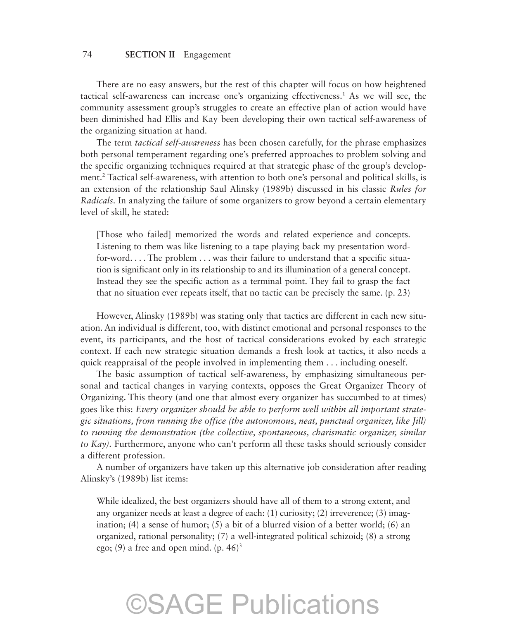There are no easy answers, but the rest of this chapter will focus on how heightened tactical self-awareness can increase one's organizing effectiveness.1 As we will see, the community assessment group's struggles to create an effective plan of action would have been diminished had Ellis and Kay been developing their own tactical self-awareness of the organizing situation at hand.

The term *tactical self-awareness* has been chosen carefully, for the phrase emphasizes both personal temperament regarding one's preferred approaches to problem solving and the specific organizing techniques required at that strategic phase of the group's development.<sup>2</sup> Tactical self-awareness, with attention to both one's personal and political skills, is an extension of the relationship Saul Alinsky (1989b) discussed in his classic *Rules for Radicals.* In analyzing the failure of some organizers to grow beyond a certain elementary level of skill, he stated:

[Those who failed] memorized the words and related experience and concepts. Listening to them was like listening to a tape playing back my presentation wordfor-word. . . . The problem . . . was their failure to understand that a specific situation is significant only in its relationship to and its illumination of a general concept. Instead they see the specific action as a terminal point. They fail to grasp the fact that no situation ever repeats itself, that no tactic can be precisely the same. (p. 23)

However, Alinsky (1989b) was stating only that tactics are different in each new situation. An individual is different, too, with distinct emotional and personal responses to the event, its participants, and the host of tactical considerations evoked by each strategic context. If each new strategic situation demands a fresh look at tactics, it also needs a quick reappraisal of the people involved in implementing them . . . including oneself.

The basic assumption of tactical self-awareness, by emphasizing simultaneous personal and tactical changes in varying contexts, opposes the Great Organizer Theory of Organizing. This theory (and one that almost every organizer has succumbed to at times) goes like this: *Every organizer should be able to perform well within all important strategic situations, from running the office (the autonomous, neat, punctual organizer, like Jill) to running the demonstration (the collective, spontaneous, charismatic organizer, similar to Kay).* Furthermore, anyone who can't perform all these tasks should seriously consider a different profession.

A number of organizers have taken up this alternative job consideration after reading Alinsky's (1989b) list items:

While idealized, the best organizers should have all of them to a strong extent, and any organizer needs at least a degree of each:  $(1)$  curiosity;  $(2)$  irreverence;  $(3)$  imagination; (4) a sense of humor; (5) a bit of a blurred vision of a better world; (6) an organized, rational personality; (7) a well-integrated political schizoid; (8) a strong ego; (9) a free and open mind.  $(p. 46)^3$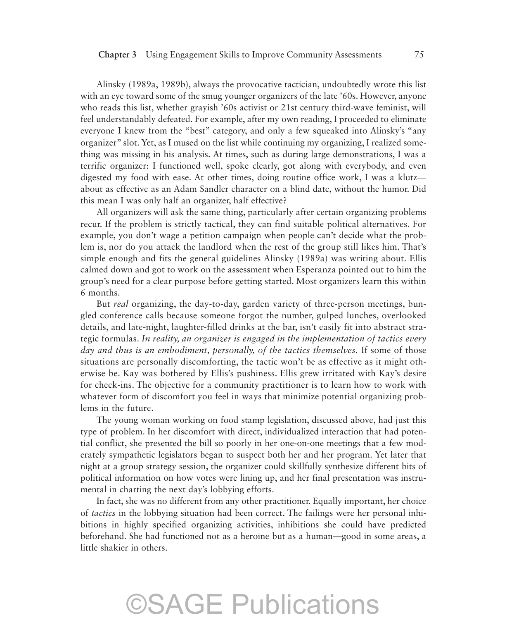Alinsky (1989a, 1989b), always the provocative tactician, undoubtedly wrote this list with an eye toward some of the smug younger organizers of the late '60s. However, anyone who reads this list, whether grayish '60s activist or 21st century third-wave feminist, will feel understandably defeated. For example, after my own reading, I proceeded to eliminate everyone I knew from the "best" category, and only a few squeaked into Alinsky's "any organizer" slot. Yet, as I mused on the list while continuing my organizing, I realized something was missing in his analysis. At times, such as during large demonstrations, I was a terrific organizer: I functioned well, spoke clearly, got along with everybody, and even digested my food with ease. At other times, doing routine office work, I was a klutz about as effective as an Adam Sandler character on a blind date, without the humor. Did this mean I was only half an organizer, half effective?

All organizers will ask the same thing, particularly after certain organizing problems recur. If the problem is strictly tactical, they can find suitable political alternatives. For example, you don't wage a petition campaign when people can't decide what the problem is, nor do you attack the landlord when the rest of the group still likes him. That's simple enough and fits the general guidelines Alinsky (1989a) was writing about. Ellis calmed down and got to work on the assessment when Esperanza pointed out to him the group's need for a clear purpose before getting started. Most organizers learn this within 6 months.

But *real* organizing, the day-to-day, garden variety of three-person meetings, bungled conference calls because someone forgot the number, gulped lunches, overlooked details, and late-night, laughter-filled drinks at the bar, isn't easily fit into abstract strategic formulas. *In reality, an organizer is engaged in the implementation of tactics every day and thus is an embodiment, personally, of the tactics themselves.* If some of those situations are personally discomforting, the tactic won't be as effective as it might otherwise be. Kay was bothered by Ellis's pushiness. Ellis grew irritated with Kay's desire for check-ins. The objective for a community practitioner is to learn how to work with whatever form of discomfort you feel in ways that minimize potential organizing problems in the future.

The young woman working on food stamp legislation, discussed above, had just this type of problem. In her discomfort with direct, individualized interaction that had potential conflict, she presented the bill so poorly in her one-on-one meetings that a few moderately sympathetic legislators began to suspect both her and her program. Yet later that night at a group strategy session, the organizer could skillfully synthesize different bits of political information on how votes were lining up, and her final presentation was instrumental in charting the next day's lobbying efforts.

In fact, she was no different from any other practitioner. Equally important, her choice of *tactics* in the lobbying situation had been correct. The failings were her personal inhibitions in highly specified organizing activities, inhibitions she could have predicted beforehand. She had functioned not as a heroine but as a human—good in some areas, a little shakier in others.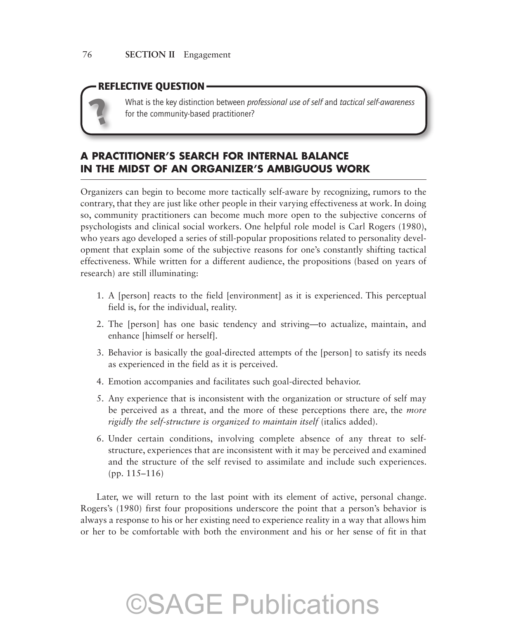### REFLECTIVE QUESTION



What is the key distinction between *professional use of self* and *tactical self-awareness* for the community-based practitioner?

### **A PRACTITIONER'S SEARCH FOR INTERNAL BALANCE IN THE MIDST OF AN ORGANIZER'S AMBIGUOUS WORK**

Organizers can begin to become more tactically self-aware by recognizing, rumors to the contrary, that they are just like other people in their varying effectiveness at work. In doing so, community practitioners can become much more open to the subjective concerns of psychologists and clinical social workers. One helpful role model is Carl Rogers (1980), who years ago developed a series of still-popular propositions related to personality development that explain some of the subjective reasons for one's constantly shifting tactical effectiveness. While written for a different audience, the propositions (based on years of research) are still illuminating:

- 1. A [person] reacts to the field [environment] as it is experienced. This perceptual field is, for the individual, reality.
- 2. The [person] has one basic tendency and striving—to actualize, maintain, and enhance [himself or herself].
- 3. Behavior is basically the goal-directed attempts of the [person] to satisfy its needs as experienced in the field as it is perceived.
- 4. Emotion accompanies and facilitates such goal-directed behavior.
- 5. Any experience that is inconsistent with the organization or structure of self may be perceived as a threat, and the more of these perceptions there are, the *more rigidly the self-structure is organized to maintain itself* (italics added).
- 6. Under certain conditions, involving complete absence of any threat to selfstructure, experiences that are inconsistent with it may be perceived and examined and the structure of the self revised to assimilate and include such experiences. (pp. 115–116)

Later, we will return to the last point with its element of active, personal change. Rogers's (1980) first four propositions underscore the point that a person's behavior is always a response to his or her existing need to experience reality in a way that allows him or her to be comfortable with both the environment and his or her sense of fit in that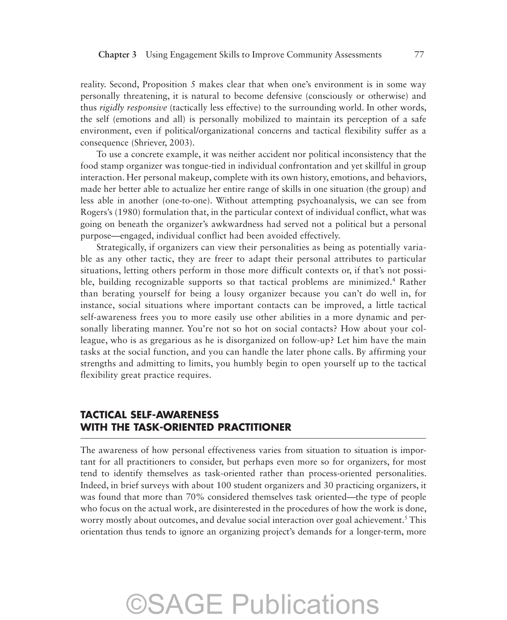reality. Second, Proposition 5 makes clear that when one's environment is in some way personally threatening, it is natural to become defensive (consciously or otherwise) and thus *rigidly responsive* (tactically less effective) to the surrounding world. In other words, the self (emotions and all) is personally mobilized to maintain its perception of a safe environment, even if political/organizational concerns and tactical flexibility suffer as a consequence (Shriever, 2003).

To use a concrete example, it was neither accident nor political inconsistency that the food stamp organizer was tongue-tied in individual confrontation and yet skillful in group interaction. Her personal makeup, complete with its own history, emotions, and behaviors, made her better able to actualize her entire range of skills in one situation (the group) and less able in another (one-to-one). Without attempting psychoanalysis, we can see from Rogers's (1980) formulation that, in the particular context of individual conflict, what was going on beneath the organizer's awkwardness had served not a political but a personal purpose—engaged, individual conflict had been avoided effectively.

Strategically, if organizers can view their personalities as being as potentially variable as any other tactic, they are freer to adapt their personal attributes to particular situations, letting others perform in those more difficult contexts or, if that's not possible, building recognizable supports so that tactical problems are minimized.<sup>4</sup> Rather than berating yourself for being a lousy organizer because you can't do well in, for instance, social situations where important contacts can be improved, a little tactical self-awareness frees you to more easily use other abilities in a more dynamic and personally liberating manner. You're not so hot on social contacts? How about your colleague, who is as gregarious as he is disorganized on follow-up? Let him have the main tasks at the social function, and you can handle the later phone calls. By affirming your strengths and admitting to limits, you humbly begin to open yourself up to the tactical flexibility great practice requires.

### **TACTICAL SELF-AWARENESS WITH THE TASK-ORIENTED PRACTITIONER**

The awareness of how personal effectiveness varies from situation to situation is important for all practitioners to consider, but perhaps even more so for organizers, for most tend to identify themselves as task-oriented rather than process-oriented personalities. Indeed, in brief surveys with about 100 student organizers and 30 practicing organizers, it was found that more than 70% considered themselves task oriented—the type of people who focus on the actual work, are disinterested in the procedures of how the work is done, worry mostly about outcomes, and devalue social interaction over goal achievement.<sup>5</sup> This orientation thus tends to ignore an organizing project's demands for a longer-term, more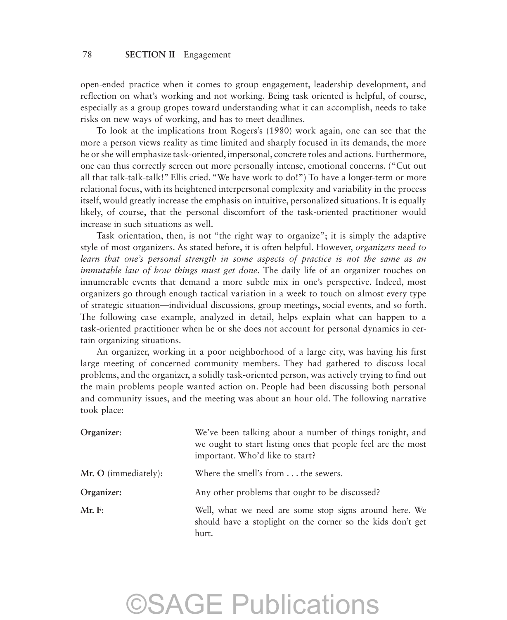open-ended practice when it comes to group engagement, leadership development, and reflection on what's working and not working. Being task oriented is helpful, of course, especially as a group gropes toward understanding what it can accomplish, needs to take risks on new ways of working, and has to meet deadlines.

To look at the implications from Rogers's (1980) work again, one can see that the more a person views reality as time limited and sharply focused in its demands, the more he or she will emphasize task-oriented, impersonal, concrete roles and actions. Furthermore, one can thus correctly screen out more personally intense, emotional concerns. ("Cut out all that talk-talk-talk!" Ellis cried. "We have work to do!") To have a longer-term or more relational focus, with its heightened interpersonal complexity and variability in the process itself, would greatly increase the emphasis on intuitive, personalized situations. It is equally likely, of course, that the personal discomfort of the task-oriented practitioner would increase in such situations as well.

Task orientation, then, is not "the right way to organize"; it is simply the adaptive style of most organizers. As stated before, it is often helpful. However, *organizers need to learn that one's personal strength in some aspects of practice is not the same as an immutable law of how things must get done.* The daily life of an organizer touches on innumerable events that demand a more subtle mix in one's perspective. Indeed, most organizers go through enough tactical variation in a week to touch on almost every type of strategic situation—individual discussions, group meetings, social events, and so forth. The following case example, analyzed in detail, helps explain what can happen to a task-oriented practitioner when he or she does not account for personal dynamics in certain organizing situations.

An organizer, working in a poor neighborhood of a large city, was having his first large meeting of concerned community members. They had gathered to discuss local problems, and the organizer, a solidly task-oriented person, was actively trying to find out the main problems people wanted action on. People had been discussing both personal and community issues, and the meeting was about an hour old. The following narrative took place:

| Organizer:           | We've been talking about a number of things tonight, and<br>we ought to start listing ones that people feel are the most<br>important. Who'd like to start? |
|----------------------|-------------------------------------------------------------------------------------------------------------------------------------------------------------|
| Mr. O (immediately): | Where the smell's from the sewers.                                                                                                                          |
| Organizer:           | Any other problems that ought to be discussed?                                                                                                              |
| Mr. F:               | Well, what we need are some stop signs around here. We<br>should have a stoplight on the corner so the kids don't get<br>hurt.                              |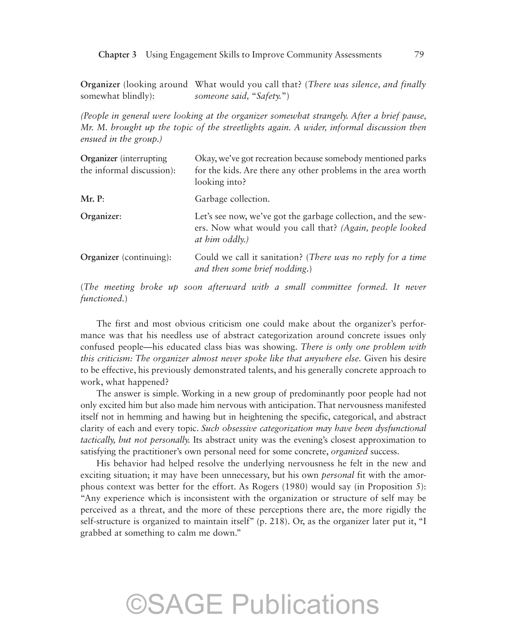**Organizer** (looking around What would you call that? (*There was silence, and finally*  somewhat blindly): *someone said,* "*Safety.*")

*(People in general were looking at the organizer somewhat strangely. After a brief pause, Mr. M. brought up the topic of the streetlights again. A wider, informal discussion then ensued in the group.)*

| <b>Organizer</b> (interrupting)<br>the informal discussion): | Okay, we've got recreation because somebody mentioned parks<br>for the kids. Are there any other problems in the area worth<br>looking into?       |
|--------------------------------------------------------------|----------------------------------------------------------------------------------------------------------------------------------------------------|
| Mr. P:                                                       | Garbage collection.                                                                                                                                |
| Organizer:                                                   | Let's see now, we've got the garbage collection, and the sew-<br>ers. Now what would you call that? (Again, people looked<br><i>at him oddly.)</i> |
| Organizer (continuing):                                      | Could we call it sanitation? ( <i>There was no reply for a time</i><br>and then some brief nodding.)                                               |

(*The meeting broke up soon afterward with a small committee formed. It never functioned.*)

The first and most obvious criticism one could make about the organizer's performance was that his needless use of abstract categorization around concrete issues only confused people—his educated class bias was showing. *There is only one problem with this criticism: The organizer almost never spoke like that anywhere else.* Given his desire to be effective, his previously demonstrated talents, and his generally concrete approach to work, what happened?

The answer is simple. Working in a new group of predominantly poor people had not only excited him but also made him nervous with anticipation. That nervousness manifested itself not in hemming and hawing but in heightening the specific, categorical, and abstract clarity of each and every topic. *Such obsessive categorization may have been dysfunctional tactically, but not personally.* Its abstract unity was the evening's closest approximation to satisfying the practitioner's own personal need for some concrete, *organized* success.

His behavior had helped resolve the underlying nervousness he felt in the new and exciting situation; it may have been unnecessary, but his own *personal* fit with the amorphous context was better for the effort. As Rogers (1980) would say (in Proposition 5): "Any experience which is inconsistent with the organization or structure of self may be perceived as a threat, and the more of these perceptions there are, the more rigidly the self-structure is organized to maintain itself" (p. 218). Or, as the organizer later put it, "I grabbed at something to calm me down."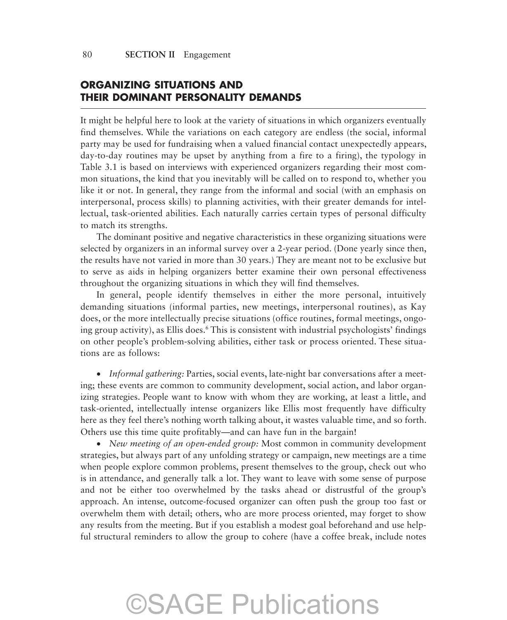### **ORGANIZING SITUATIONS AND THEIR DOMINANT PERSONALITY DEMANDS**

It might be helpful here to look at the variety of situations in which organizers eventually find themselves. While the variations on each category are endless (the social, informal party may be used for fundraising when a valued financial contact unexpectedly appears, day-to-day routines may be upset by anything from a fire to a firing), the typology in Table 3.1 is based on interviews with experienced organizers regarding their most common situations, the kind that you inevitably will be called on to respond to, whether you like it or not. In general, they range from the informal and social (with an emphasis on interpersonal, process skills) to planning activities, with their greater demands for intellectual, task-oriented abilities. Each naturally carries certain types of personal difficulty to match its strengths.

The dominant positive and negative characteristics in these organizing situations were selected by organizers in an informal survey over a 2-year period. (Done yearly since then, the results have not varied in more than 30 years.) They are meant not to be exclusive but to serve as aids in helping organizers better examine their own personal effectiveness throughout the organizing situations in which they will find themselves.

In general, people identify themselves in either the more personal, intuitively demanding situations (informal parties, new meetings, interpersonal routines), as Kay does, or the more intellectually precise situations (office routines, formal meetings, ongoing group activity), as Ellis does.<sup>6</sup> This is consistent with industrial psychologists' findings on other people's problem-solving abilities, either task or process oriented. These situations are as follows:

• *Informal gathering:* Parties, social events, late-night bar conversations after a meeting; these events are common to community development, social action, and labor organizing strategies. People want to know with whom they are working, at least a little, and task-oriented, intellectually intense organizers like Ellis most frequently have difficulty here as they feel there's nothing worth talking about, it wastes valuable time, and so forth. Others use this time quite profitably—and can have fun in the bargain!

• *New meeting of an open-ended group:* Most common in community development strategies, but always part of any unfolding strategy or campaign, new meetings are a time when people explore common problems, present themselves to the group, check out who is in attendance, and generally talk a lot. They want to leave with some sense of purpose and not be either too overwhelmed by the tasks ahead or distrustful of the group's approach. An intense, outcome-focused organizer can often push the group too fast or overwhelm them with detail; others, who are more process oriented, may forget to show any results from the meeting. But if you establish a modest goal beforehand and use helpful structural reminders to allow the group to cohere (have a coffee break, include notes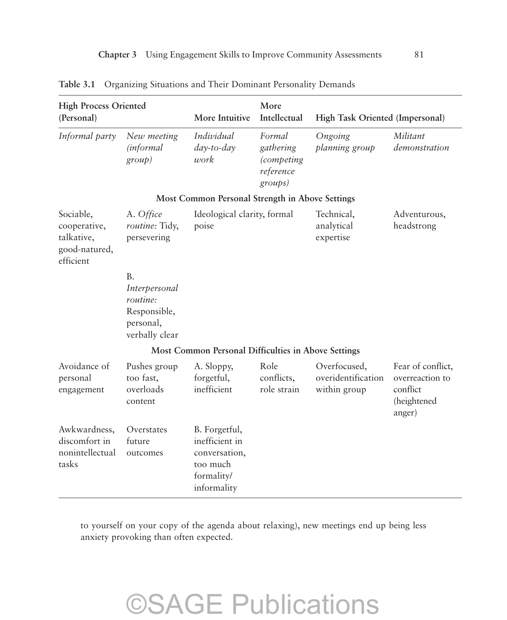| <b>High Process Oriented</b><br>(Personal)                            |                                                                                       | More<br>Intellectual<br>More Intuitive                                                    |                                                                 | High Task Oriented (Impersonal)                    |                                                                           |  |  |  |  |  |
|-----------------------------------------------------------------------|---------------------------------------------------------------------------------------|-------------------------------------------------------------------------------------------|-----------------------------------------------------------------|----------------------------------------------------|---------------------------------------------------------------------------|--|--|--|--|--|
| Informal party                                                        | New meeting<br><i>(informal</i><br>(group)                                            | Individual<br>$day-to-day$<br>work                                                        | Formal<br>gathering<br><i>(competing</i><br>reference<br>groups | Ongoing<br>planning group                          | Militant<br>demonstration                                                 |  |  |  |  |  |
| Most Common Personal Strength in Above Settings                       |                                                                                       |                                                                                           |                                                                 |                                                    |                                                                           |  |  |  |  |  |
| Sociable,<br>cooperative,<br>talkative,<br>good-natured,<br>efficient | A. Office<br>routine: Tidy,<br>persevering                                            | Ideological clarity, formal<br>poise                                                      |                                                                 | Technical,<br>analytical<br>expertise              | Adventurous,<br>headstrong                                                |  |  |  |  |  |
|                                                                       | <b>B.</b><br>Interpersonal<br>routine:<br>Responsible,<br>personal,<br>verbally clear |                                                                                           |                                                                 |                                                    |                                                                           |  |  |  |  |  |
|                                                                       | Most Common Personal Difficulties in Above Settings                                   |                                                                                           |                                                                 |                                                    |                                                                           |  |  |  |  |  |
| Avoidance of<br>personal<br>engagement                                | Pushes group<br>too fast,<br>overloads<br>content                                     | A. Sloppy,<br>forgetful,<br>inefficient                                                   | Role<br>conflicts,<br>role strain                               | Overfocused,<br>overidentification<br>within group | Fear of conflict,<br>overreaction to<br>conflict<br>(heightened<br>anger) |  |  |  |  |  |
| Awkwardness,<br>discomfort in<br>nonintellectual<br>tasks             | Overstates<br>future<br>outcomes                                                      | B. Forgetful,<br>inefficient in<br>conversation,<br>too much<br>formality/<br>informality |                                                                 |                                                    |                                                                           |  |  |  |  |  |

**Table 3.1** Organizing Situations and Their Dominant Personality Demands

to yourself on your copy of the agenda about relaxing), new meetings end up being less anxiety provoking than often expected.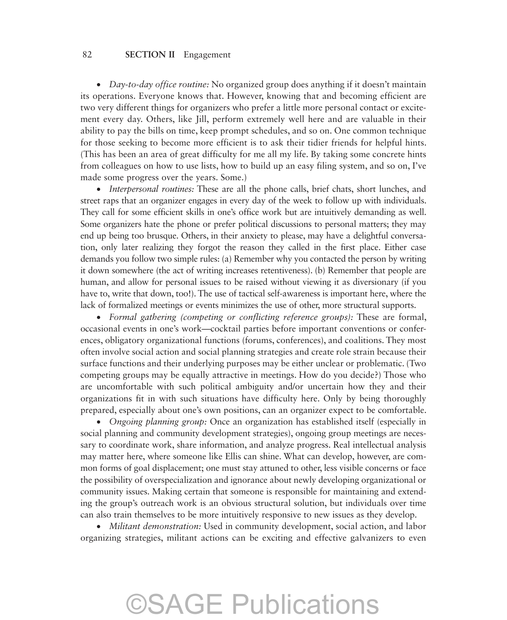#### 82 **SECTION II** Engagement

• *Day-to-day office routine:* No organized group does anything if it doesn't maintain its operations. Everyone knows that. However, knowing that and becoming efficient are two very different things for organizers who prefer a little more personal contact or excitement every day. Others, like Jill, perform extremely well here and are valuable in their ability to pay the bills on time, keep prompt schedules, and so on. One common technique for those seeking to become more efficient is to ask their tidier friends for helpful hints. (This has been an area of great difficulty for me all my life. By taking some concrete hints from colleagues on how to use lists, how to build up an easy filing system, and so on, I've made some progress over the years. Some.)

• *Interpersonal routines:* These are all the phone calls, brief chats, short lunches, and street raps that an organizer engages in every day of the week to follow up with individuals. They call for some efficient skills in one's office work but are intuitively demanding as well. Some organizers hate the phone or prefer political discussions to personal matters; they may end up being too brusque. Others, in their anxiety to please, may have a delightful conversation, only later realizing they forgot the reason they called in the first place. Either case demands you follow two simple rules: (a) Remember why you contacted the person by writing it down somewhere (the act of writing increases retentiveness). (b) Remember that people are human, and allow for personal issues to be raised without viewing it as diversionary (if you have to, write that down, too!). The use of tactical self-awareness is important here, where the lack of formalized meetings or events minimizes the use of other, more structural supports.

• *Formal gathering (competing or conflicting reference groups):* These are formal, occasional events in one's work—cocktail parties before important conventions or conferences, obligatory organizational functions (forums, conferences), and coalitions. They most often involve social action and social planning strategies and create role strain because their surface functions and their underlying purposes may be either unclear or problematic. (Two competing groups may be equally attractive in meetings. How do you decide?) Those who are uncomfortable with such political ambiguity and/or uncertain how they and their organizations fit in with such situations have difficulty here. Only by being thoroughly prepared, especially about one's own positions, can an organizer expect to be comfortable.

• *Ongoing planning group:* Once an organization has established itself (especially in social planning and community development strategies), ongoing group meetings are necessary to coordinate work, share information, and analyze progress. Real intellectual analysis may matter here, where someone like Ellis can shine. What can develop, however, are common forms of goal displacement; one must stay attuned to other, less visible concerns or face the possibility of overspecialization and ignorance about newly developing organizational or community issues. Making certain that someone is responsible for maintaining and extending the group's outreach work is an obvious structural solution, but individuals over time can also train themselves to be more intuitively responsive to new issues as they develop.

• *Militant demonstration:* Used in community development, social action, and labor organizing strategies, militant actions can be exciting and effective galvanizers to even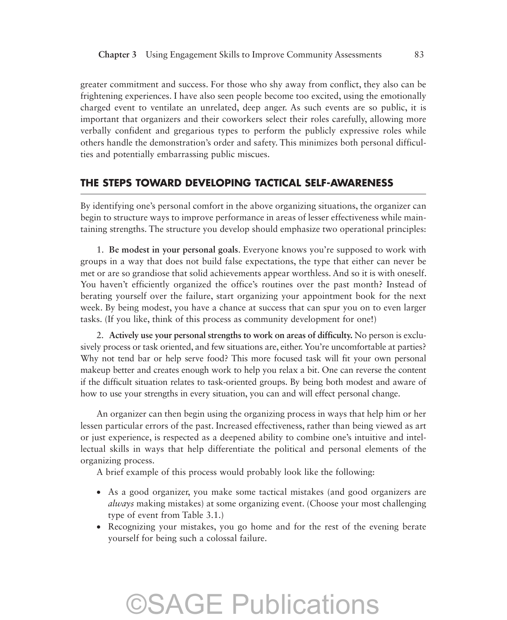greater commitment and success. For those who shy away from conflict, they also can be frightening experiences. I have also seen people become too excited, using the emotionally charged event to ventilate an unrelated, deep anger. As such events are so public, it is important that organizers and their coworkers select their roles carefully, allowing more verbally confident and gregarious types to perform the publicly expressive roles while others handle the demonstration's order and safety. This minimizes both personal difficulties and potentially embarrassing public miscues.

#### **THE STEPS TOWARD DEVELOPING TACTICAL SELF-AWARENESS**

By identifying one's personal comfort in the above organizing situations, the organizer can begin to structure ways to improve performance in areas of lesser effectiveness while maintaining strengths. The structure you develop should emphasize two operational principles:

1. **Be modest in your personal goals**. Everyone knows you're supposed to work with groups in a way that does not build false expectations, the type that either can never be met or are so grandiose that solid achievements appear worthless. And so it is with oneself. You haven't efficiently organized the office's routines over the past month? Instead of berating yourself over the failure, start organizing your appointment book for the next week. By being modest, you have a chance at success that can spur you on to even larger tasks. (If you like, think of this process as community development for one!)

2. **Actively use your personal strengths to work on areas of difficulty.** No person is exclusively process or task oriented, and few situations are, either. You're uncomfortable at parties? Why not tend bar or help serve food? This more focused task will fit your own personal makeup better and creates enough work to help you relax a bit. One can reverse the content if the difficult situation relates to task-oriented groups. By being both modest and aware of how to use your strengths in every situation, you can and will effect personal change.

An organizer can then begin using the organizing process in ways that help him or her lessen particular errors of the past. Increased effectiveness, rather than being viewed as art or just experience, is respected as a deepened ability to combine one's intuitive and intellectual skills in ways that help differentiate the political and personal elements of the organizing process.

A brief example of this process would probably look like the following:

- As a good organizer, you make some tactical mistakes (and good organizers are *always* making mistakes) at some organizing event. (Choose your most challenging type of event from Table 3.1.)
- Recognizing your mistakes, you go home and for the rest of the evening berate yourself for being such a colossal failure.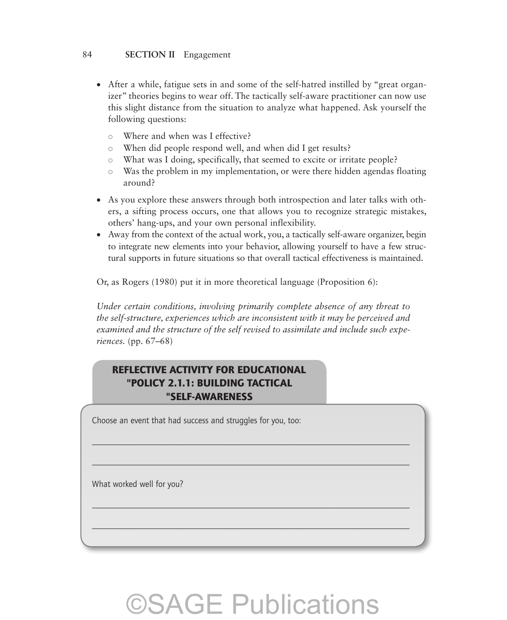#### 84 **SECTION II** Engagement

- After a while, fatigue sets in and some of the self-hatred instilled by "great organizer" theories begins to wear off. The tactically self-aware practitioner can now use this slight distance from the situation to analyze what happened. Ask yourself the following questions:
	- $\circ$  Where and when was I effective?
	- $\circ$  When did people respond well, and when did I get results?
	- $\circ$  What was I doing, specifically, that seemed to excite or irritate people?
	- $\circ$  Was the problem in my implementation, or were there hidden agendas floating around?
- As you explore these answers through both introspection and later talks with others, a sifting process occurs, one that allows you to recognize strategic mistakes, others' hang-ups, and your own personal inflexibility.
- Away from the context of the actual work, you, a tactically self-aware organizer, begin to integrate new elements into your behavior, allowing yourself to have a few structural supports in future situations so that overall tactical effectiveness is maintained.

Or, as Rogers (1980) put it in more theoretical language (Proposition 6):

*Under certain conditions, involving primarily complete absence of any threat to the self-structure, experiences which are inconsistent with it may be perceived and examined and the structure of the self revised to assimilate and include such experiences.* (pp. 67–68)

\_\_\_\_\_\_\_\_\_\_\_\_\_\_\_\_\_\_\_\_\_\_\_\_\_\_\_\_\_\_\_\_\_\_\_\_\_\_\_\_\_\_\_\_\_\_\_\_\_\_\_\_\_\_\_\_\_\_\_\_\_\_\_\_\_\_\_\_\_\_\_\_\_\_

\_\_\_\_\_\_\_\_\_\_\_\_\_\_\_\_\_\_\_\_\_\_\_\_\_\_\_\_\_\_\_\_\_\_\_\_\_\_\_\_\_\_\_\_\_\_\_\_\_\_\_\_\_\_\_\_\_\_\_\_\_\_\_\_\_\_\_\_\_\_\_\_\_\_

\_\_\_\_\_\_\_\_\_\_\_\_\_\_\_\_\_\_\_\_\_\_\_\_\_\_\_\_\_\_\_\_\_\_\_\_\_\_\_\_\_\_\_\_\_\_\_\_\_\_\_\_\_\_\_\_\_\_\_\_\_\_\_\_\_\_\_\_\_\_\_\_\_\_

 $\_$  , and the set of the set of the set of the set of the set of the set of the set of the set of the set of the set of the set of the set of the set of the set of the set of the set of the set of the set of the set of th

©SAGE Publications

### REFLECTIVE ACTIVITY FOR EDUCATIONAL "POLICY 2.1.1: BUILDING TACTICAL "SELF-AWARENESS

Choose an event that had success and struggles for you, too:

What worked well for you?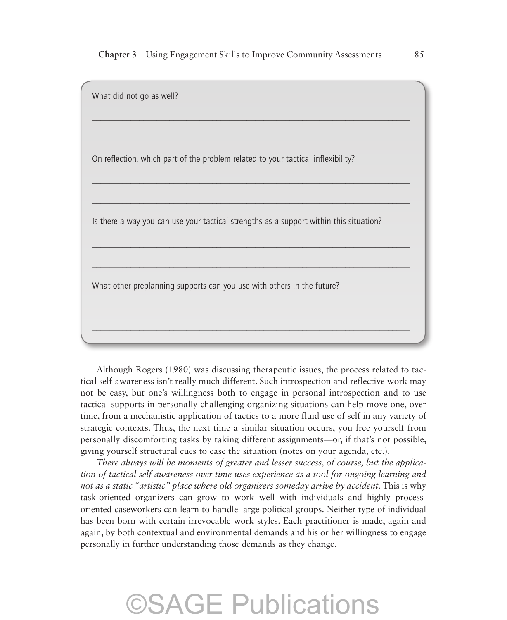\_\_\_\_\_\_\_\_\_\_\_\_\_\_\_\_\_\_\_\_\_\_\_\_\_\_\_\_\_\_\_\_\_\_\_\_\_\_\_\_\_\_\_\_\_\_\_\_\_\_\_\_\_\_\_\_\_\_\_\_\_\_\_\_\_\_\_\_\_\_\_\_\_\_

 $\_$  , and the set of the set of the set of the set of the set of the set of the set of the set of the set of the set of the set of the set of the set of the set of the set of the set of the set of the set of the set of th

\_\_\_\_\_\_\_\_\_\_\_\_\_\_\_\_\_\_\_\_\_\_\_\_\_\_\_\_\_\_\_\_\_\_\_\_\_\_\_\_\_\_\_\_\_\_\_\_\_\_\_\_\_\_\_\_\_\_\_\_\_\_\_\_\_\_\_\_\_\_\_\_\_\_

\_\_\_\_\_\_\_\_\_\_\_\_\_\_\_\_\_\_\_\_\_\_\_\_\_\_\_\_\_\_\_\_\_\_\_\_\_\_\_\_\_\_\_\_\_\_\_\_\_\_\_\_\_\_\_\_\_\_\_\_\_\_\_\_\_\_\_\_\_\_\_\_\_\_

\_\_\_\_\_\_\_\_\_\_\_\_\_\_\_\_\_\_\_\_\_\_\_\_\_\_\_\_\_\_\_\_\_\_\_\_\_\_\_\_\_\_\_\_\_\_\_\_\_\_\_\_\_\_\_\_\_\_\_\_\_\_\_\_\_\_\_\_\_\_\_\_\_\_

\_\_\_\_\_\_\_\_\_\_\_\_\_\_\_\_\_\_\_\_\_\_\_\_\_\_\_\_\_\_\_\_\_\_\_\_\_\_\_\_\_\_\_\_\_\_\_\_\_\_\_\_\_\_\_\_\_\_\_\_\_\_\_\_\_\_\_\_\_\_\_\_\_\_

\_\_\_\_\_\_\_\_\_\_\_\_\_\_\_\_\_\_\_\_\_\_\_\_\_\_\_\_\_\_\_\_\_\_\_\_\_\_\_\_\_\_\_\_\_\_\_\_\_\_\_\_\_\_\_\_\_\_\_\_\_\_\_\_\_\_\_\_\_\_\_\_\_\_

\_\_\_\_\_\_\_\_\_\_\_\_\_\_\_\_\_\_\_\_\_\_\_\_\_\_\_\_\_\_\_\_\_\_\_\_\_\_\_\_\_\_\_\_\_\_\_\_\_\_\_\_\_\_\_\_\_\_\_\_\_\_\_\_\_\_\_\_\_\_\_\_\_\_

What did not go as well?

On reflection, which part of the problem related to your tactical inflexibility?

Is there a way you can use your tactical strengths as a support within this situation?

What other preplanning supports can you use with others in the future?

Although Rogers (1980) was discussing therapeutic issues, the process related to tactical self-awareness isn't really much different. Such introspection and reflective work may not be easy, but one's willingness both to engage in personal introspection and to use tactical supports in personally challenging organizing situations can help move one, over time, from a mechanistic application of tactics to a more fluid use of self in any variety of strategic contexts. Thus, the next time a similar situation occurs, you free yourself from personally discomforting tasks by taking different assignments—or, if that's not possible, giving yourself structural cues to ease the situation (notes on your agenda, etc.).

*There always will be moments of greater and lesser success, of course, but the application of tactical self-awareness over time uses experience as a tool for ongoing learning and not as a static "artistic" place where old organizers someday arrive by accident.* This is why task-oriented organizers can grow to work well with individuals and highly processoriented caseworkers can learn to handle large political groups. Neither type of individual has been born with certain irrevocable work styles. Each practitioner is made, again and again, by both contextual and environmental demands and his or her willingness to engage personally in further understanding those demands as they change.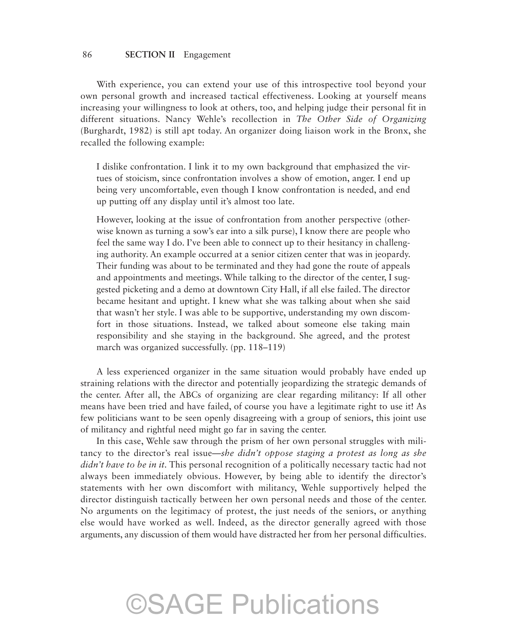With experience, you can extend your use of this introspective tool beyond your own personal growth and increased tactical effectiveness. Looking at yourself means increasing your willingness to look at others, too, and helping judge their personal fit in different situations. Nancy Wehle's recollection in *The Other Side of Organizing* (Burghardt, 1982) is still apt today. An organizer doing liaison work in the Bronx, she recalled the following example:

I dislike confrontation. I link it to my own background that emphasized the virtues of stoicism, since confrontation involves a show of emotion, anger. I end up being very uncomfortable, even though I know confrontation is needed, and end up putting off any display until it's almost too late.

However, looking at the issue of confrontation from another perspective (otherwise known as turning a sow's ear into a silk purse), I know there are people who feel the same way I do. I've been able to connect up to their hesitancy in challenging authority. An example occurred at a senior citizen center that was in jeopardy. Their funding was about to be terminated and they had gone the route of appeals and appointments and meetings. While talking to the director of the center, I suggested picketing and a demo at downtown City Hall, if all else failed. The director became hesitant and uptight. I knew what she was talking about when she said that wasn't her style. I was able to be supportive, understanding my own discomfort in those situations. Instead, we talked about someone else taking main responsibility and she staying in the background. She agreed, and the protest march was organized successfully. (pp. 118–119)

A less experienced organizer in the same situation would probably have ended up straining relations with the director and potentially jeopardizing the strategic demands of the center. After all, the ABCs of organizing are clear regarding militancy: If all other means have been tried and have failed, of course you have a legitimate right to use it! As few politicians want to be seen openly disagreeing with a group of seniors, this joint use of militancy and rightful need might go far in saving the center.

In this case, Wehle saw through the prism of her own personal struggles with militancy to the director's real issue—*she didn't oppose staging a protest as long as she didn't have to be in it.* This personal recognition of a politically necessary tactic had not always been immediately obvious. However, by being able to identify the director's statements with her own discomfort with militancy, Wehle supportively helped the director distinguish tactically between her own personal needs and those of the center. No arguments on the legitimacy of protest, the just needs of the seniors, or anything else would have worked as well. Indeed, as the director generally agreed with those arguments, any discussion of them would have distracted her from her personal difficulties.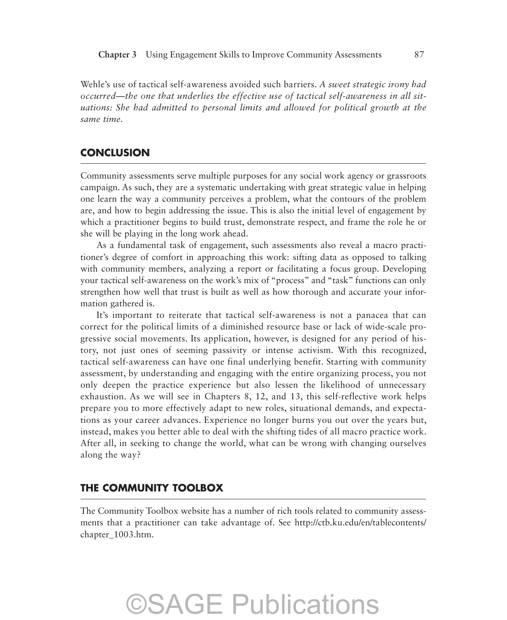Wehle's use of tactical self-awareness avoided such barriers. *A sweet strategic irony had occurred—the one that underlies the effective use of tactical self-awareness in all situations: She had admitted to personal limits and allowed for political growth at the same time.*

### **CONCLUSION**

Community assessments serve multiple purposes for any social work agency or grassroots campaign. As such, they are a systematic undertaking with great strategic value in helping one learn the way a community perceives a problem, what the contours of the problem are, and how to begin addressing the issue. This is also the initial level of engagement by which a practitioner begins to build trust, demonstrate respect, and frame the role he or she will be playing in the long work ahead.

As a fundamental task of engagement, such assessments also reveal a macro practitioner's degree of comfort in approaching this work: sifting data as opposed to talking with community members, analyzing a report or facilitating a focus group. Developing your tactical self-awareness on the work's mix of "process" and "task" functions can only strengthen how well that trust is built as well as how thorough and accurate your information gathered is.

It's important to reiterate that tactical self-awareness is not a panacea that can correct for the political limits of a diminished resource base or lack of wide-scale progressive social movements. Its application, however, is designed for any period of history, not just ones of seeming passivity or intense activism. With this recognized, tactical self-awareness can have one final underlying benefit. Starting with community assessment, by understanding and engaging with the entire organizing process, you not only deepen the practice experience but also lessen the likelihood of unnecessary exhaustion. As we will see in Chapters 8, 12, and 13, this self-reflective work helps prepare you to more effectively adapt to new roles, situational demands, and expectations as your career advances. Experience no longer burns you out over the years but, instead, makes you better able to deal with the shifting tides of all macro practice work. After all, in seeking to change the world, what can be wrong with changing ourselves along the way?

### **THE COMMUNITY TOOLBOX**

The Community Toolbox website has a number of rich tools related to community assessments that a practitioner can take advantage of. See http://ctb.ku.edu/en/tablecontents/ chapter\_1003.htm.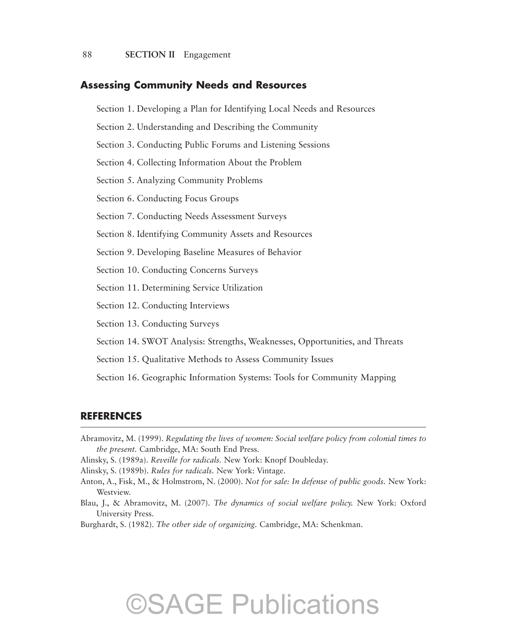### **Assessing Community Needs and Resources**

Section 1. Developing a Plan for Identifying Local Needs and Resources

Section 2. Understanding and Describing the Community

Section 3. Conducting Public Forums and Listening Sessions

Section 4. Collecting Information About the Problem

Section 5. Analyzing Community Problems

Section 6. Conducting Focus Groups

Section 7. Conducting Needs Assessment Surveys

Section 8. Identifying Community Assets and Resources

Section 9. Developing Baseline Measures of Behavior

Section 10. Conducting Concerns Surveys

Section 11. Determining Service Utilization

Section 12. Conducting Interviews

Section 13. Conducting Surveys

Section 14. SWOT Analysis: Strengths, Weaknesses, Opportunities, and Threats

Section 15. Qualitative Methods to Assess Community Issues

Section 16. Geographic Information Systems: Tools for Community Mapping

### **REFERENCES**

Abramovitz, M. (1999). *Regulating the lives of women: Social welfare policy from colonial times to the present.* Cambridge, MA: South End Press.

Alinsky, S. (1989a). *Reveille for radicals.* New York: Knopf Doubleday.

Alinsky, S. (1989b). *Rules for radicals.* New York: Vintage.

- Anton, A., Fisk, M., & Holmstrom, N. (2000). *Not for sale: In defense of public goods.* New York: Westview.
- Blau, J., & Abramovitz, M. (2007). *The dynamics of social welfare policy.* New York: Oxford University Press.

Burghardt, S. (1982). *The other side of organizing.* Cambridge, MA: Schenkman.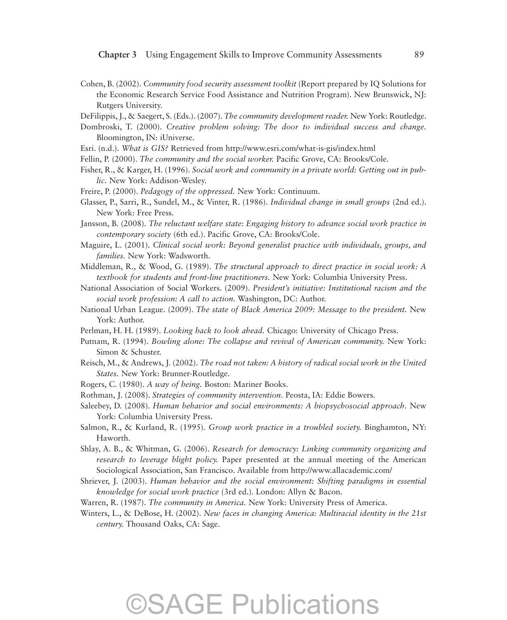Cohen, B. (2002). *Community food security assessment toolkit* (Report prepared by IQ Solutions for the Economic Research Service Food Assistance and Nutrition Program). New Brunswick, NJ: Rutgers University.

DeFilippis, J., & Saegert, S. (Eds.). (2007). *The community development reader.* New York: Routledge.

- Dombroski, T. (2000). *Creative problem solving: The door to individual success and change.* Bloomington, IN: iUniverse.
- Esri. (n.d.). *What is GIS?* Retrieved from http://www.esri.com/what-is-gis/index.html
- Fellin, P. (2000). *The community and the social worker.* Pacific Grove, CA: Brooks/Cole.
- Fisher, R., & Karger, H. (1996). *Social work and community in a private world: Getting out in public.* New York: Addison-Wesley.
- Freire, P. (2000). *Pedagogy of the oppressed.* New York: Continuum.
- Glasser, P., Sarri, R., Sundel, M., & Vinter, R. (1986). *Individual change in small groups* (2nd ed.). New York: Free Press.

Jansson, B. (2008). *The reluctant welfare state: Engaging history to advance social work practice in contemporary society* (6th ed.). Pacific Grove, CA: Brooks/Cole.

- Maguire, L. (2001). *Clinical social work: Beyond generalist practice with individuals, groups, and families.* New York: Wadsworth.
- Middleman, R., & Wood, G. (1989). *The structural approach to direct practice in social work: A textbook for students and front-line practitioners.* New York: Columbia University Press.
- National Association of Social Workers. (2009). *President's initiative: Institutional racism and the social work profession: A call to action.* Washington, DC: Author.
- National Urban League. (2009). *The state of Black America 2009: Message to the president.* New York: Author.
- Perlman, H. H. (1989). *Looking back to look ahead.* Chicago: University of Chicago Press.
- Putnam, R. (1994). *Bowling alone: The collapse and revival of American community.* New York: Simon & Schuster.
- Reisch, M., & Andrews, J. (2002). *The road not taken: A history of radical social work in the United States.* New York: Brunner-Routledge.
- Rogers, C. (1980). *A way of being.* Boston: Mariner Books.
- Rothman, J. (2008). *Strategies of community intervention.* Peosta, IA: Eddie Bowers.
- Saleebey, D. (2008). *Human behavior and social environments: A biopsychosocial approach.* New York: Columbia University Press.
- Salmon, R., & Kurland, R. (1995). *Group work practice in a troubled society.* Binghamton, NY: Haworth.
- Shlay, A. B., & Whitman, G. (2006). *Research for democracy: Linking community organizing and research to leverage blight policy.* Paper presented at the annual meeting of the American Sociological Association, San Francisco. Available from http://www.allacademic.com/
- Shriever, J. (2003). *Human behavior and the social environment: Shifting paradigms in essential knowledge for social work practice* (3rd ed.). London: Allyn & Bacon.
- Warren, R. (1987). *The community in America.* New York: University Press of America.
- Winters, L., & DeBose, H. (2002). *New faces in changing America: Multiracial identity in the 21st century.* Thousand Oaks, CA: Sage.